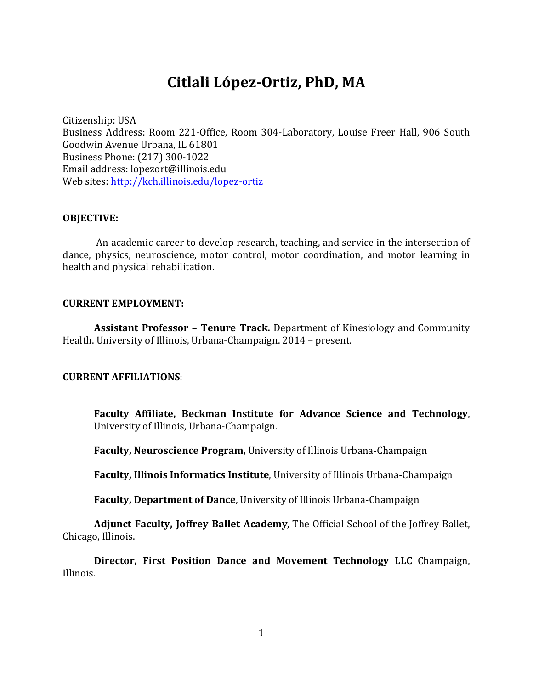# **Citlali López-Ortiz, PhD, MA**

Citizenship: USA

Business Address: Room 221-Office, Room 304-Laboratory, Louise Freer Hall, 906 South Goodwin Avenue Urbana, IL 61801 Business Phone: (217) 300-1022 Email address: lopezort@illinois.edu Web sites: http://kch.illinois.edu/lopez-ortiz

### **OBJECTIVE:**

An academic career to develop research, teaching, and service in the intersection of dance, physics, neuroscience, motor control, motor coordination, and motor learning in health and physical rehabilitation.

### **CURRENT EMPLOYMENT:**

**Assistant Professor – Tenure Track.** Department of Kinesiology and Community Health. University of Illinois, Urbana-Champaign. 2014 - present.

### **CURRENT AFFILIATIONS**:

**Faculty Affiliate, Beckman Institute for Advance Science and Technology**, University of Illinois, Urbana-Champaign.

**Faculty, Neuroscience Program,** University of Illinois Urbana-Champaign

**Faculty, Illinois Informatics Institute**, University of Illinois Urbana-Champaign

**Faculty, Department of Dance**, University of Illinois Urbana-Champaign

Adjunct Faculty, Joffrey Ballet Academy, The Official School of the Joffrey Ballet, Chicago, Illinois.

**Director, First Position Dance and Movement Technology LLC** Champaign, Illinois.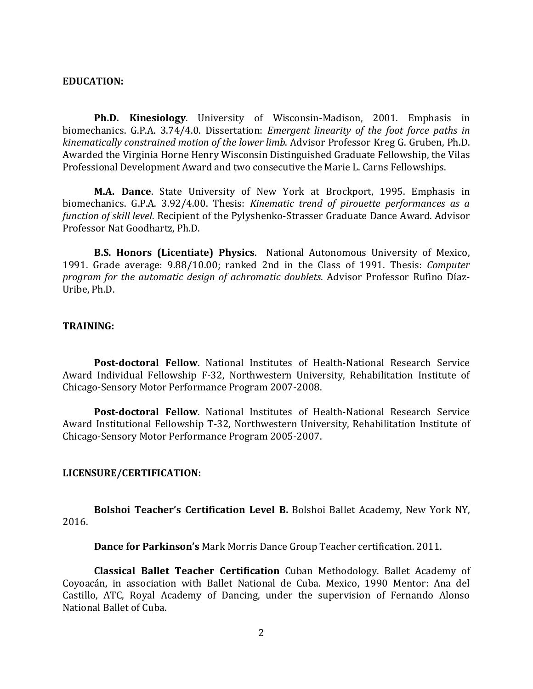#### **EDUCATION:**

**Ph.D. Kinesiology.** University of Wisconsin-Madison, 2001. Emphasis in biomechanics. G.P.A. 3.74/4.0. Dissertation: *Emergent linearity of the foot force paths in kinematically constrained motion of the lower limb.* Advisor Professor Kreg G. Gruben, Ph.D. Awarded the Virginia Horne Henry Wisconsin Distinguished Graduate Fellowship, the Vilas Professional Development Award and two consecutive the Marie L. Carns Fellowships.

**M.A. Dance.** State University of New York at Brockport, 1995. Emphasis in biomechanics. G.P.A. 3.92/4.00. Thesis: *Kinematic trend of pirouette performances as a function of skill level.* Recipient of the Pylyshenko-Strasser Graduate Dance Award. Advisor Professor Nat Goodhartz, Ph.D.

**B.S. Honors (Licentiate) Physics**. National Autonomous University of Mexico, 1991. Grade average: 9.88/10.00; ranked 2nd in the Class of 1991. Thesis: *Computer program for the automatic design of achromatic doublets.* Advisor Professor Rufino Díaz-Uribe, Ph.D.

### **TRAINING:**

**Post-doctoral Fellow**. National Institutes of Health-National Research Service Award Individual Fellowship F-32, Northwestern University, Rehabilitation Institute of Chicago-Sensory Motor Performance Program 2007-2008.

**Post-doctoral Fellow**. National Institutes of Health-National Research Service Award Institutional Fellowship T-32, Northwestern University, Rehabilitation Institute of Chicago-Sensory Motor Performance Program 2005-2007. 

#### **LICENSURE/CERTIFICATION:**

**Bolshoi Teacher's Certification Level B.** Bolshoi Ballet Academy, New York NY, 2016.

**Dance for Parkinson's** Mark Morris Dance Group Teacher certification. 2011.

**Classical Ballet Teacher Certification** Cuban Methodology. Ballet Academy of Coyoacán, in association with Ballet National de Cuba. Mexico, 1990 Mentor: Ana del Castillo, ATC, Royal Academy of Dancing, under the supervision of Fernando Alonso National Ballet of Cuba.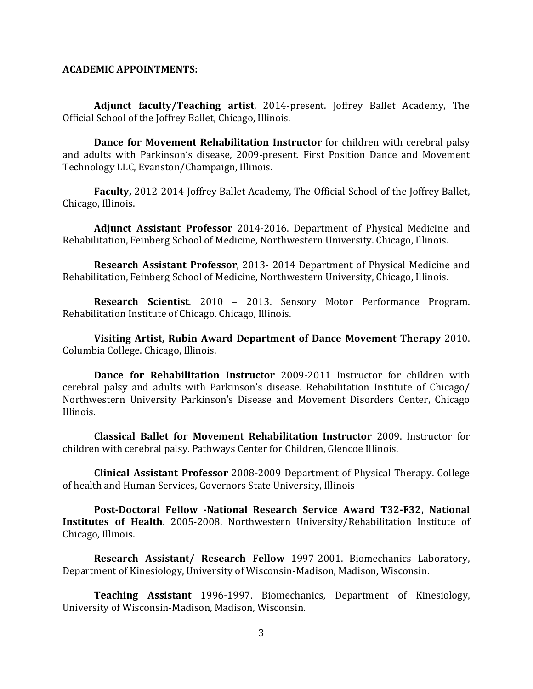### **ACADEMIC APPOINTMENTS:**

**Adjunct faculty/Teaching artist**, 2014-present. Joffrey Ballet Academy, The Official School of the Joffrey Ballet, Chicago, Illinois.

**Dance for Movement Rehabilitation Instructor** for children with cerebral palsy and adults with Parkinson's disease, 2009-present. First Position Dance and Movement Technology LLC, Evanston/Champaign, Illinois.

**Faculty,** 2012-2014 Joffrey Ballet Academy, The Official School of the Joffrey Ballet, Chicago, Illinois.

**Adjunct Assistant Professor** 2014-2016. Department of Physical Medicine and Rehabilitation, Feinberg School of Medicine, Northwestern University. Chicago, Illinois.

**Research Assistant Professor**, 2013- 2014 Department of Physical Medicine and Rehabilitation, Feinberg School of Medicine, Northwestern University, Chicago, Illinois.

**Research Scientist.** 2010 - 2013. Sensory Motor Performance Program. Rehabilitation Institute of Chicago. Chicago, Illinois.

**Visiting Artist, Rubin Award Department of Dance Movement Therapy** 2010. Columbia College. Chicago, Illinois.

**Dance for Rehabilitation Instructor** 2009-2011 Instructor for children with cerebral palsy and adults with Parkinson's disease. Rehabilitation Institute of Chicago/ Northwestern University Parkinson's Disease and Movement Disorders Center, Chicago Illinois.

**Classical Ballet for Movement Rehabilitation Instructor** 2009. Instructor for children with cerebral palsy. Pathways Center for Children, Glencoe Illinois.

**Clinical Assistant Professor** 2008-2009 Department of Physical Therapy. College of health and Human Services, Governors State University, Illinois

Post-Doctoral Fellow -National Research Service Award T32-F32, National **Institutes of Health.** 2005-2008. Northwestern University/Rehabilitation Institute of Chicago, Illinois.

**Research Assistant/ Research Fellow** 1997-2001. Biomechanics Laboratory, Department of Kinesiology, University of Wisconsin-Madison, Madison, Wisconsin.

**Teaching Assistant** 1996-1997. Biomechanics, Department of Kinesiology, University of Wisconsin-Madison, Madison, Wisconsin.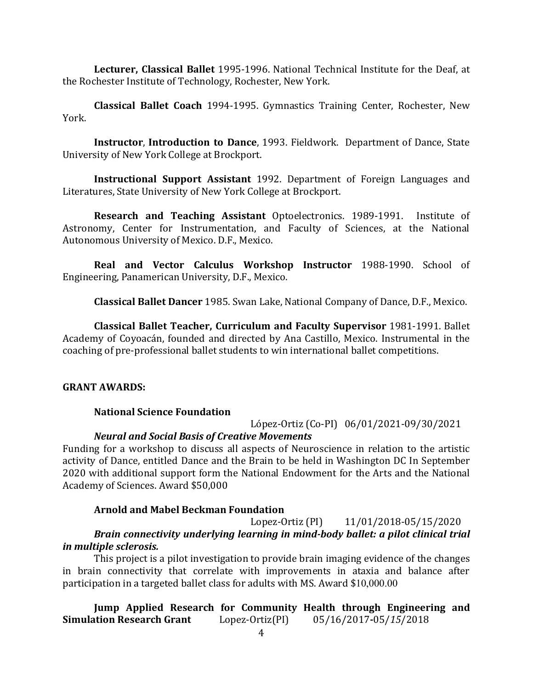**Lecturer, Classical Ballet** 1995-1996. National Technical Institute for the Deaf, at the Rochester Institute of Technology, Rochester, New York.

**Classical Ballet Coach** 1994-1995. Gymnastics Training Center, Rochester, New York.

**Instructor, Introduction to Dance,** 1993. Fieldwork. Department of Dance, State University of New York College at Brockport.

**Instructional Support Assistant** 1992. Department of Foreign Languages and Literatures, State University of New York College at Brockport.

**Research and Teaching Assistant Optoelectronics.** 1989-1991. Institute of Astronomy, Center for Instrumentation, and Faculty of Sciences, at the National Autonomous University of Mexico. D.F., Mexico.

**Real and Vector Calculus Workshop Instructor** 1988-1990. School of Engineering, Panamerican University, D.F., Mexico.

**Classical Ballet Dancer** 1985. Swan Lake, National Company of Dance, D.F., Mexico.

**Classical Ballet Teacher, Curriculum and Faculty Supervisor** 1981-1991. Ballet Academy of Coyoacán, founded and directed by Ana Castillo, Mexico. Instrumental in the coaching of pre-professional ballet students to win international ballet competitions.

### **GRANT AWARDS:**

### **National Science Foundation**

López-Ortiz (Co-PI) 06/01/2021-09/30/2021

### *Neural and Social Basis of Creative Movements*

Funding for a workshop to discuss all aspects of Neuroscience in relation to the artistic activity of Dance, entitled Dance and the Brain to be held in Washington DC In September 2020 with additional support form the National Endowment for the Arts and the National Academy of Sciences. Award \$50,000

### **Arnold and Mabel Beckman Foundation**

Lopez-Ortiz (PI) 11/01/2018-05/15/2020 *Brain connectivity underlying learning in mind-body ballet: a pilot clinical trial in multiple sclerosis.*

This project is a pilot investigation to provide brain imaging evidence of the changes in brain connectivity that correlate with improvements in ataxia and balance after participation in a targeted ballet class for adults with MS. Award \$10,000.00

### **Jump Applied Research for Community Health through Engineering and Simulation Research Grant** Lopez-Ortiz(PI) 05/16/2017**-**05/*15*/2018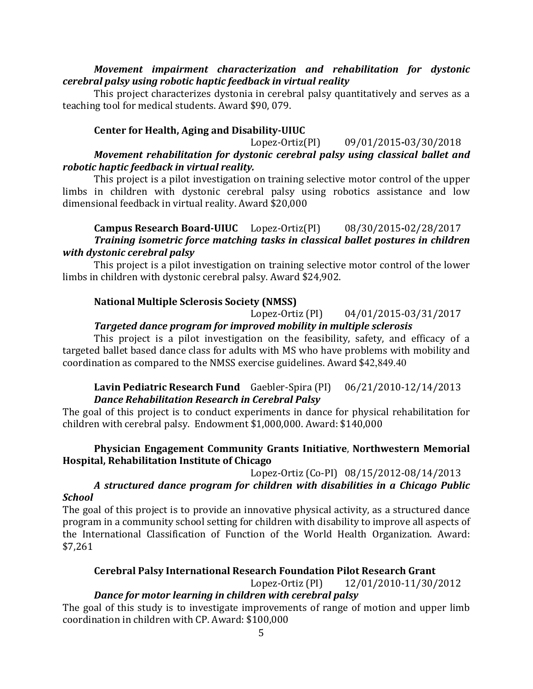### *Movement impairment characterization and rehabilitation for dystonic* cerebral palsy using robotic haptic feedback in virtual reality

This project characterizes dystonia in cerebral palsy quantitatively and serves as a teaching tool for medical students. Award \$90, 079.

### **Center for Health, Aging and Disability-UIUC**

### Lopez-Ortiz(PI) 09/01/2015**-**03/30/2018 *Movement rehabilitation for dystonic cerebral palsy using classical ballet and robotic haptic feedback in virtual reality.*

This project is a pilot investigation on training selective motor control of the upper limbs in children with dystonic cerebral palsy using robotics assistance and low dimensional feedback in virtual reality. Award \$20,000

### **Campus Research Board-UIUC** Lopez-Ortiz(PI) 08/30/2015**-**02/28/2017 **Training isometric force matching tasks in classical ballet postures in children** *with dystonic cerebral palsy*

This project is a pilot investigation on training selective motor control of the lower limbs in children with dystonic cerebral palsy. Award \$24,902.

## **National Multiple Sclerosis Society (NMSS)**

Lopez-Ortiz (PI) 04/01/2015-03/31/2017

## *Targeted dance program for improved mobility in multiple sclerosis*

This project is a pilot investigation on the feasibility, safety, and efficacy of a targeted ballet based dance class for adults with MS who have problems with mobility and coordination as compared to the NMSS exercise guidelines. Award \$42,849.40

### **Lavin Pediatric Research Fund** Gaebler-Spira (PI) 06/21/2010-12/14/2013 *Dance Rehabilitation Research in Cerebral Palsy*

The goal of this project is to conduct experiments in dance for physical rehabilitation for children with cerebral palsy. Endowment \$1,000,000. Award: \$140,000

### **Physician Engagement Community Grants Initiative, Northwestern Memorial Hospital, Rehabilitation Institute of Chicago**

Lopez-Ortiz (Co-PI) 08/15/2012-08/14/2013

### *A structured dance program for children with disabilities in a Chicago Public School*

The goal of this project is to provide an innovative physical activity, as a structured dance program in a community school setting for children with disability to improve all aspects of the International Classification of Function of the World Health Organization. Award: \$7,261

# **Cerebral Palsy International Research Foundation Pilot Research Grant**

Lopez-Ortiz (PI) 12/01/2010-11/30/2012

# *Dance for motor learning in children with cerebral palsy*

The goal of this study is to investigate improvements of range of motion and upper limb coordination in children with CP. Award: \$100,000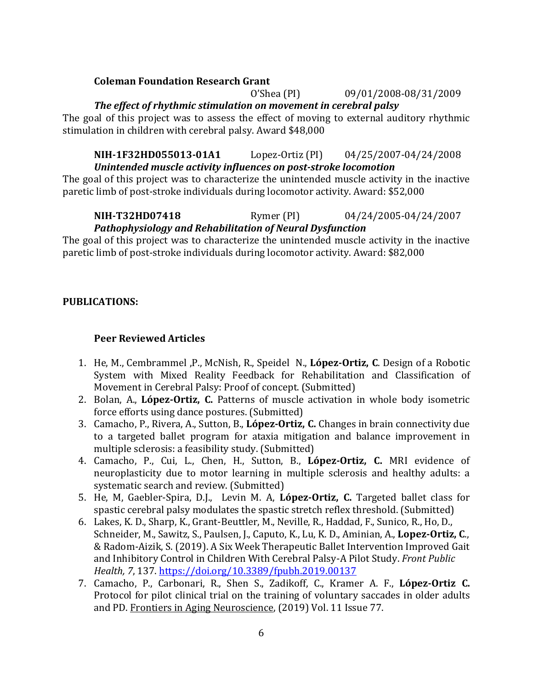### **Coleman Foundation Research Grant**

O'Shea (PI) 09/01/2008-08/31/2009

**The effect of rhythmic stimulation on movement in cerebral palsy** 

The goal of this project was to assess the effect of moving to external auditory rhythmic stimulation in children with cerebral palsy. Award \$48,000

### **NIH-1F32HD055013-01A1** Lopez-Ortiz (PI) 04/25/2007-04/24/2008 *Unintended muscle activity influences on post-stroke locomotion*

The goal of this project was to characterize the unintended muscle activity in the inactive paretic limb of post-stroke individuals during locomotor activity. Award: \$52,000

**NIH-T32HD07418** Rymer (PI) 04/24/2005-04/24/2007

### *Pathophysiology and Rehabilitation of Neural Dysfunction*

The goal of this project was to characterize the unintended muscle activity in the inactive paretic limb of post-stroke individuals during locomotor activity. Award: \$82,000

### **PUBLICATIONS:**

### **Peer Reviewed Articles**

- 1. He, M., Cembrammel, P., McNish, R., Speidel N., López-Ortiz, C. Design of a Robotic System with Mixed Reality Feedback for Rehabilitation and Classification of Movement in Cerebral Palsy: Proof of concept. (Submitted)
- 2. Bolan, A., López-Ortiz, C. Patterns of muscle activation in whole body isometric force efforts using dance postures. (Submitted)
- 3. Camacho, P., Rivera, A., Sutton, B., López-Ortiz, C. Changes in brain connectivity due to a targeted ballet program for ataxia mitigation and balance improvement in multiple sclerosis: a feasibility study. (Submitted)
- 4. Camacho, P., Cui, L., Chen, H., Sutton, B., López-Ortiz, C. MRI evidence of neuroplasticity due to motor learning in multiple sclerosis and healthy adults: a systematic search and review. (Submitted)
- 5. He, M, Gaebler-Spira, D.J., Levin M. A, López-Ortiz, C. Targeted ballet class for spastic cerebral palsy modulates the spastic stretch reflex threshold. (Submitted)
- 6. Lakes, K. D., Sharp, K., Grant-Beuttler, M., Neville, R., Haddad, F., Sunico, R., Ho, D., Schneider, M., Sawitz, S., Paulsen, J., Caputo, K., Lu, K. D., Aminian, A., Lopez-Ortiz, C., & Radom-Aizik, S. (2019). A Six Week Therapeutic Ballet Intervention Improved Gait and Inhibitory Control in Children With Cerebral Palsy-A Pilot Study. Front Public *Health, 7*, 137. https://doi.org/10.3389/fpubh.2019.00137
- 7. Camacho, P., Carbonari, R., Shen S., Zadikoff, C., Kramer A. F., López-Ortiz C. Protocol for pilot clinical trial on the training of voluntary saccades in older adults and PD. Frontiers in Aging Neuroscience, (2019) Vol. 11 Issue 77.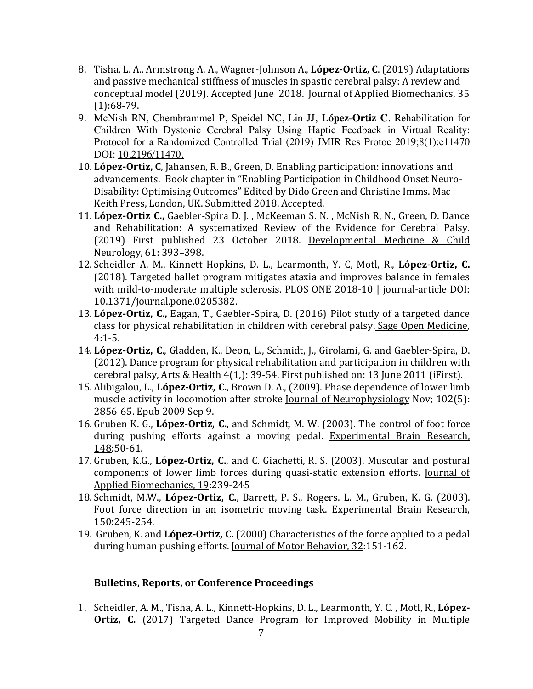- 8. Tisha, L. A., Armstrong A. A., Wagner-Johnson A., **López-Ortiz, C.** (2019) Adaptations and passive mechanical stiffness of muscles in spastic cerebral palsy: A review and conceptual model (2019). Accepted June 2018. Journal of Applied Biomechanics, 35 (1):68-79.
- 9. McNish RN, Chembrammel P, Speidel NC, Lin JJ, **López-Ortiz C**. Rehabilitation for Children With Dystonic Cerebral Palsy Using Haptic Feedback in Virtual Reality: Protocol for a Randomized Controlled Trial (2019) JMIR Res Protoc 2019;8(1):e11470 DOI: 10.2196/11470.
- 10. López-Ortiz, C, Jahansen, R. B., Green, D. Enabling participation: innovations and advancements. Book chapter in "Enabling Participation in Childhood Onset Neuro-Disability: Optimising Outcomes" Edited by Dido Green and Christine Imms. Mac Keith Press, London, UK. Submitted 2018. Accepted.
- 11. López-Ortiz C., Gaebler-Spira D. J., McKeeman S. N., McNish R, N., Green, D. Dance and Rehabilitation: A systematized Review of the Evidence for Cerebral Palsy. (2019) First published 23 October 2018. Developmental Medicine & Child Neurology, 61: 393-398.
- 12. Scheidler A. M., Kinnett-Hopkins, D. L., Learmonth, Y. C, Motl, R., López-Ortiz, C. (2018). Targeted ballet program mitigates ataxia and improves balance in females with mild-to-moderate multiple sclerosis. PLOS ONE 2018-10 | journal-article DOI: 10.1371/journal.pone.0205382.
- 13. López-Ortiz, C., Eagan, T., Gaebler-Spira, D. (2016) Pilot study of a targeted dance class for physical rehabilitation in children with cerebral palsy. Sage Open Medicine, 4:1-5.
- 14. López-Ortiz, C., Gladden, K., Deon, L., Schmidt, J., Girolami, G. and Gaebler-Spira, D.  $(2012)$ . Dance program for physical rehabilitation and participation in children with cerebral palsy,  $Arts & Health 4(1): 39-54. First published on: 13 June 2011 (ifirst).$ </u>
- 15. Alibigalou, L., López-Ortiz, C., Brown D. A., (2009). Phase dependence of lower limb muscle activity in locomotion after stroke Journal of Neurophysiology Nov; 102(5): 2856-65. Epub 2009 Sep 9.
- 16. Gruben K. G., López-Ortiz, C., and Schmidt, M. W. (2003). The control of foot force during pushing efforts against a moving pedal. Experimental Brain Research, 148:50-61.
- 17. Gruben, K.G., López-Ortiz, C., and C. Giachetti, R. S. (2003). Muscular and postural components of lower limb forces during quasi-static extension efforts. Journal of Applied Biomechanics, 19:239-245
- 18. Schmidt, M.W., López-Ortiz, C., Barrett, P. S., Rogers. L. M., Gruben, K. G. (2003). Foot force direction in an isometric moving task. Experimental Brain Research, 150:245-254.
- 19. Gruben, K. and **López-Ortiz, C.** (2000) Characteristics of the force applied to a pedal during human pushing efforts. Journal of Motor Behavior, 32:151-162.

### **Bulletins, Reports, or Conference Proceedings**

1. Scheidler, A. M., Tisha, A. L., Kinnett-Hopkins, D. L., Learmonth, Y. C., Motl, R., López-**Ortiz, C.** (2017) Targeted Dance Program for Improved Mobility in Multiple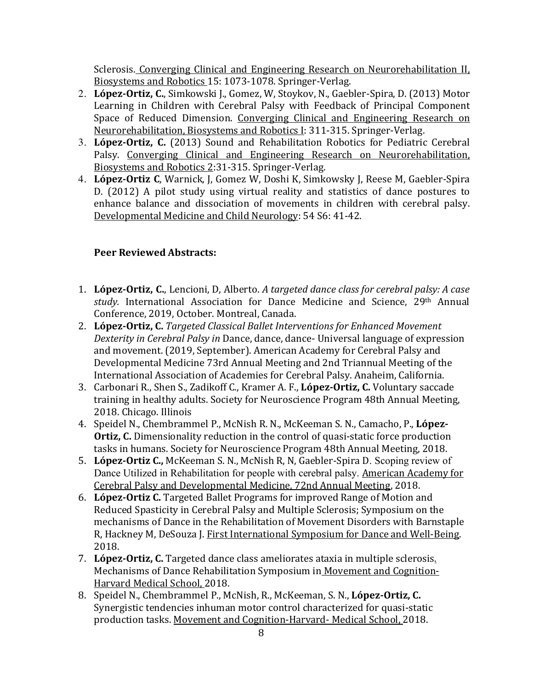Sclerosis. Converging Clinical and Engineering Research on Neurorehabilitation II, Biosystems and Robotics 15: 1073-1078. Springer-Verlag.

- 2. López-Ortiz, C., Simkowski J., Gomez, W. Stoykov, N., Gaebler-Spira, D. (2013) Motor Learning in Children with Cerebral Palsy with Feedback of Principal Component Space of Reduced Dimension. Converging Clinical and Engineering Research on Neurorehabilitation, Biosystems and Robotics I: 311-315. Springer-Verlag.
- 3. López-Ortiz, C. (2013) Sound and Rehabilitation Robotics for Pediatric Cerebral Palsy. Converging Clinical and Engineering Research on Neurorehabilitation, Biosystems and Robotics 2:31-315. Springer-Verlag.
- 4. López-Ortiz C, Warnick, J, Gomez W, Doshi K, Simkowsky J, Reese M, Gaebler-Spira D. (2012) A pilot study using virtual reality and statistics of dance postures to enhance balance and dissociation of movements in children with cerebral palsy. Developmental Medicine and Child Neurology: 54 S6: 41-42.

# **Peer Reviewed Abstracts:**

- 1. López-Ortiz, C., Lencioni, D, Alberto. A targeted dance class for cerebral palsy: A case study. International Association for Dance Medicine and Science, 29<sup>th</sup> Annual Conference, 2019, October. Montreal, Canada.
- 2. López-Ortiz, C. *Targeted Classical Ballet Interventions for Enhanced Movement* Dexterity in Cerebral Palsy in Dance, dance, dance- Universal language of expression and movement. (2019, September). American Academy for Cerebral Palsy and Developmental Medicine 73rd Annual Meeting and 2nd Triannual Meeting of the International Association of Academies for Cerebral Palsy. Anaheim, California.
- 3. Carbonari R., Shen S., Zadikoff C., Kramer A. F., López-Ortiz, C. Voluntary saccade training in healthy adults. Society for Neuroscience Program 48th Annual Meeting, 2018. Chicago. Illinois
- 4. Speidel N., Chembrammel P., McNish R. N., McKeeman S. N., Camacho, P., López-**Ortiz, C.** Dimensionality reduction in the control of quasi-static force production tasks in humans. Society for Neuroscience Program 48th Annual Meeting, 2018.
- 5. **López-Ortiz C.,** McKeeman S. N., McNish R. N. Gaebler-Spira D. Scoping review of Dance Utilized in Rehabilitation for people with cerebral palsy. American Academy for Cerebral Palsy and Developmental Medicine, 72nd Annual Meeting, 2018.
- 6. López-Ortiz C. Targeted Ballet Programs for improved Range of Motion and Reduced Spasticity in Cerebral Palsy and Multiple Sclerosis; Symposium on the mechanisms of Dance in the Rehabilitation of Movement Disorders with Barnstaple R, Hackney M, DeSouza J. First International Symposium for Dance and Well-Being. 2018.
- 7. López-Ortiz, C. Targeted dance class ameliorates ataxia in multiple sclerosis. Mechanisms of Dance Rehabilitation Symposium in Movement and Cognition-Harvard Medical School, 2018.
- 8. Speidel N., Chembrammel P., McNish, R., McKeeman, S. N., López-Ortiz, C. Synergistic tendencies inhuman motor control characterized for quasi-static production tasks. Movement and Cognition-Harvard- Medical School, 2018.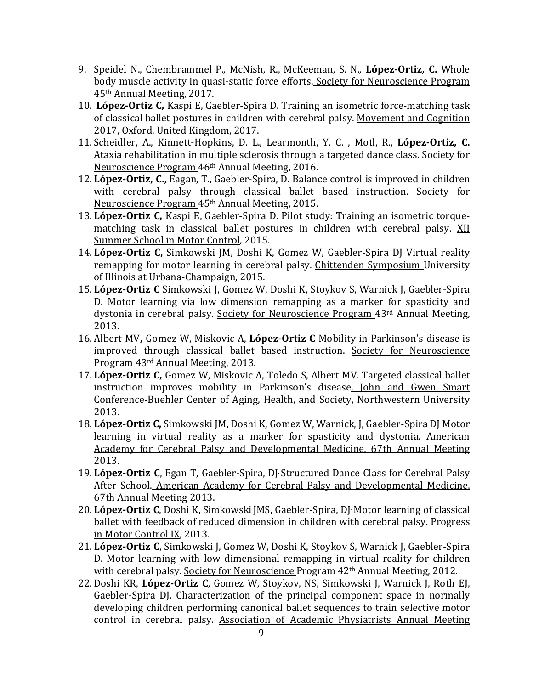- 9. Speidel N., Chembrammel P., McNish, R., McKeeman, S. N., López-Ortiz, C. Whole body muscle activity in quasi-static force efforts. Society for Neuroscience Program 45th Annual Meeting, 2017.
- 10. **López-Ortiz C**, Kaspi E, Gaebler-Spira D. Training an isometric force-matching task of classical ballet postures in children with cerebral palsy. Movement and Cognition 2017, Oxford, United Kingdom, 2017.
- 11. Scheidler, A., Kinnett-Hopkins, D. L., Learmonth, Y. C., Motl, R., López-Ortiz, C. Ataxia rehabilitation in multiple sclerosis through a targeted dance class. Society for Neuroscience Program 46<sup>th</sup> Annual Meeting, 2016.
- 12. **López-Ortiz, C.,** Eagan, T., Gaebler-Spira, D. Balance control is improved in children with cerebral palsy through classical ballet based instruction. Society for Neuroscience Program 45<sup>th</sup> Annual Meeting, 2015.
- 13. **López-Ortiz C**, Kaspi E, Gaebler-Spira D. Pilot study: Training an isometric torquematching task in classical ballet postures in children with cerebral palsy. XII Summer School in Motor Control, 2015.
- 14. López-Ortiz C, Simkowski JM, Doshi K, Gomez W, Gaebler-Spira DJ Virtual reality remapping for motor learning in cerebral palsy. Chittenden Symposium University of Illinois at Urbana-Champaign, 2015.
- 15. López-Ortiz C Simkowski J, Gomez W, Doshi K, Stoykov S, Warnick J, Gaebler-Spira D. Motor learning via low dimension remapping as a marker for spasticity and dystonia in cerebral palsy. Society for Neuroscience Program 43rd Annual Meeting, 2013.
- 16. Albert MV, Gomez W, Miskovic A, López-Ortiz C Mobility in Parkinson's disease is improved through classical ballet based instruction. Society for Neuroscience Program 43<sup>rd</sup> Annual Meeting, 2013.
- 17. López-Ortiz C, Gomez W, Miskovic A, Toledo S, Albert MV. Targeted classical ballet instruction improves mobility in Parkinson's disease. John and Gwen Smart Conference-Buehler Center of Aging, Health, and Society, Northwestern University 2013.
- 18. López-Ortiz C, Simkowski JM, Doshi K, Gomez W, Warnick, J, Gaebler-Spira DJ Motor learning in virtual reality as a marker for spasticity and dystonia. American Academy for Cerebral Palsy and Developmental Medicine, 67th Annual Meeting 2013.
- 19. López-Ortiz C, Egan T, Gaebler-Spira, DJ Structured Dance Class for Cerebral Palsy After School. American Academy for Cerebral Palsy and Developmental Medicine, 67th Annual Meeting 2013.
- 20. López-Ortiz C, Doshi K, Simkowski JMS, Gaebler-Spira, DJ Motor learning of classical ballet with feedback of reduced dimension in children with cerebral palsy. Progress in Motor Control IX, 2013.
- 21. López-Ortiz C, Simkowski J, Gomez W, Doshi K, Stoykov S, Warnick J, Gaebler-Spira D. Motor learning with low dimensional remapping in virtual reality for children with cerebral palsy. Society for Neuroscience Program  $42<sup>th</sup>$  Annual Meeting, 2012.
- 22. Doshi KR, López-Ortiz C, Gomez W, Stoykov, NS, Simkowski J, Warnick J, Roth EJ, Gaebler-Spira DJ. Characterization of the principal component space in normally developing children performing canonical ballet sequences to train selective motor control in cerebral palsy. Association of Academic Physiatrists Annual Meeting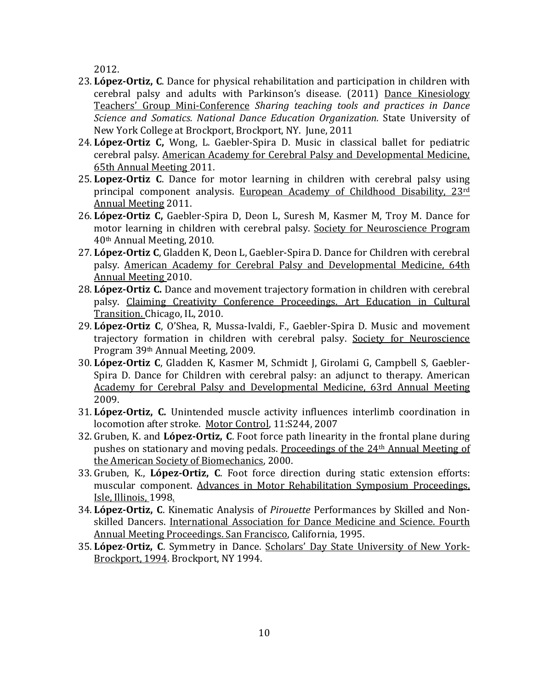2012.

- 23. López-Ortiz, C. Dance for physical rehabilitation and participation in children with cerebral palsy and adults with Parkinson's disease. (2011) Dance Kinesiology Teachers' Group Mini-Conference *Sharing teaching tools and practices in Dance Science and Somatics. National Dance Education Organization.*  State University of New York College at Brockport, Brockport, NY. June, 2011
- 24. López-Ortiz C, Wong, L. Gaebler-Spira D. Music in classical ballet for pediatric cerebral palsy. American Academy for Cerebral Palsy and Developmental Medicine, 65th Annual Meeting 2011.
- 25. Lopez-Ortiz C. Dance for motor learning in children with cerebral palsy using principal component analysis. European Academy of Childhood Disability,  $23^{rd}$ Annual Meeting 2011.
- 26. López-Ortiz C, Gaebler-Spira D, Deon L, Suresh M, Kasmer M, Troy M. Dance for motor learning in children with cerebral palsy. Society for Neuroscience Program 40th Annual Meeting, 2010.
- 27. López-Ortiz C, Gladden K, Deon L, Gaebler-Spira D. Dance for Children with cerebral palsy. American Academy for Cerebral Palsy and Developmental Medicine, 64th Annual Meeting 2010.
- 28. López-Ortiz C. Dance and movement trajectory formation in children with cerebral palsy. Claiming Creativity Conference Proceedings. Art Education in Cultural Transition. Chicago, IL, 2010.
- 29. López-Ortiz C, O'Shea, R, Mussa-Ivaldi, F., Gaebler-Spira D. Music and movement trajectory formation in children with cerebral palsy. Society for Neuroscience Program 39<sup>th</sup> Annual Meeting, 2009.
- 30. López-Ortiz C, Gladden K, Kasmer M, Schmidt J, Girolami G, Campbell S, Gaebler-Spira D. Dance for Children with cerebral palsy: an adjunct to therapy. American Academy for Cerebral Palsy and Developmental Medicine, 63rd Annual Meeting 2009.
- 31. López-Ortiz, C. Unintended muscle activity influences interlimb coordination in locomotion after stroke. Motor Control, 11:S244, 2007
- 32. Gruben, K. and López-Ortiz, C. Foot force path linearity in the frontal plane during pushes on stationary and moving pedals. Proceedings of the 24<sup>th</sup> Annual Meeting of the American Society of Biomechanics, 2000.
- 33. Gruben, K., López-Ortiz, C. Foot force direction during static extension efforts: muscular component. Advances in Motor Rehabilitation Symposium Proceedings, Isle, Illinois, 1998.
- 34. López-Ortiz, C. Kinematic Analysis of *Pirouette* Performances by Skilled and Nonskilled Dancers. International Association for Dance Medicine and Science. Fourth Annual Meeting Proceedings. San Francisco, California, 1995.
- 35. López-Ortiz, C. Symmetry in Dance. Scholars' Day State University of New York-Brockport, 1994. Brockport, NY 1994.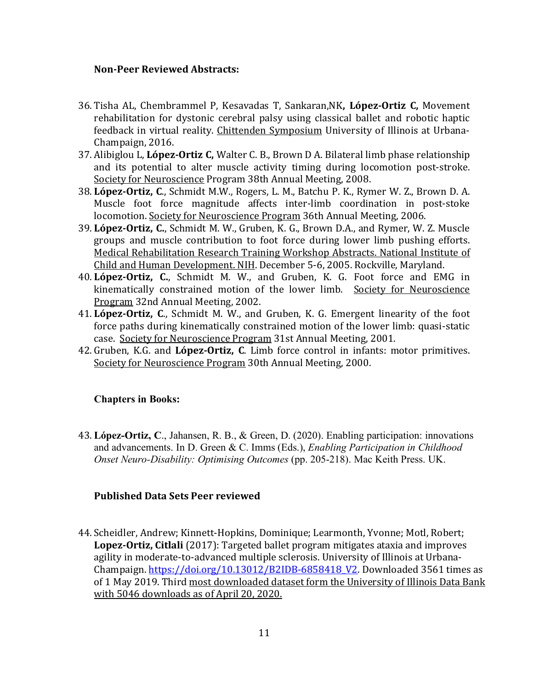#### **Non-Peer Reviewed Abstracts:**

- 36. Tisha AL, Chembrammel P, Kesavadas T, Sankaran,NK**, López-Ortiz C,** Movement rehabilitation for dystonic cerebral palsy using classical ballet and robotic haptic feedback in virtual reality. Chittenden Symposium University of Illinois at Urbana-Champaign, 2016.
- 37. Alibiglou L, López-Ortiz C, Walter C. B., Brown D A. Bilateral limb phase relationship and its potential to alter muscle activity timing during locomotion post-stroke. Society for Neuroscience Program 38th Annual Meeting, 2008.
- 38. López-Ortiz, C., Schmidt M.W., Rogers, L. M., Batchu P. K., Rymer W. Z., Brown D. A. Muscle foot force magnitude affects inter-limb coordination in post-stoke locomotion. Society for Neuroscience Program 36th Annual Meeting, 2006.
- 39. López-Ortiz, C., Schmidt M. W., Gruben, K. G., Brown D.A., and Rymer, W. Z. Muscle groups and muscle contribution to foot force during lower limb pushing efforts. Medical Rehabilitation Research Training Workshop Abstracts. National Institute of Child and Human Development. NIH. December 5-6, 2005. Rockville, Maryland.
- 40. López-Ortiz, C., Schmidt M. W., and Gruben, K. G. Foot force and EMG in kinematically constrained motion of the lower limb. Society for Neuroscience Program 32nd Annual Meeting, 2002.
- 41. López-Ortiz, C., Schmidt M. W., and Gruben, K. G. Emergent linearity of the foot force paths during kinematically constrained motion of the lower limb: quasi-static case. Society for Neuroscience Program 31st Annual Meeting, 2001.
- 42. Gruben, K.G. and López-Ortiz, C. Limb force control in infants: motor primitives. Society for Neuroscience Program 30th Annual Meeting, 2000.

### **Chapters in Books:**

43. **López-Ortiz, C**., Jahansen, R. B., & Green, D. (2020). Enabling participation: innovations and advancements. In D. Green & C. Imms (Eds.), *Enabling Participation in Childhood Onset Neuro-Disability: Optimising Outcomes* (pp. 205-218). Mac Keith Press. UK.

### **Published Data Sets Peer reviewed**

44. Scheidler, Andrew; Kinnett-Hopkins, Dominique; Learmonth, Yvonne; Motl, Robert; Lopez-Ortiz, Citlali (2017): Targeted ballet program mitigates ataxia and improves agility in moderate-to-advanced multiple sclerosis. University of Illinois at Urbana-Champaign.  $\frac{https://doi.org/10.13012/B2IDB-6858418 V2.}{}$  Downloaded 3561 times as of 1 May 2019. Third most downloaded dataset form the University of Illinois Data Bank with 5046 downloads as of April 20, 2020.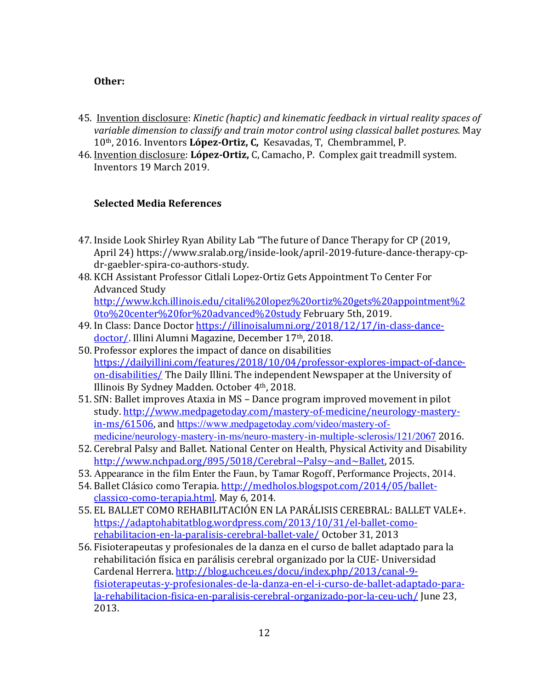### **Other:**

- 45. Invention disclosure: *Kinetic (haptic)* and kinematic feedback in virtual reality spaces of variable dimension to classify and train motor control using classical ballet postures. May 10<sup>th</sup>, 2016. Inventors López-Ortiz, C, Kesavadas, T, Chembrammel, P.
- 46. Invention disclosure: López-Ortiz, C, Camacho, P. Complex gait treadmill system. Inventors 19 March 2019.

### **Selected Media References**

- 47. Inside Look Shirley Ryan Ability Lab "The future of Dance Therapy for CP (2019, April 24) https://www.sralab.org/inside-look/april-2019-future-dance-therapy-cpdr-gaebler-spira-co-authors-study.
- 48. KCH Assistant Professor Citlali Lopez-Ortiz Gets Appointment To Center For Advanced Study http://www.kch.illinois.edu/citali%20lopez%20ortiz%20gets%20appointment%2 0to%20center%20for%20advanced%20study February 5th, 2019.
- 49. In Class: Dance Doctor https://illinoisalumni.org/2018/12/17/in-class-dancedoctor/. Illini Alumni Magazine, December 17<sup>th</sup>, 2018.
- 50. Professor explores the impact of dance on disabilities https://dailyillini.com/features/2018/10/04/professor-explores-impact-of-danceon-disabilities/ The Daily Illini. The independent Newspaper at the University of Illinois By Sydney Madden. October 4<sup>th</sup>, 2018.
- 51. SfN: Ballet improves Ataxia in MS Dance program improved movement in pilot study. http://www.medpagetoday.com/mastery-of-medicine/neurology-masteryin-ms/61506, and https://www.medpagetoday.com/video/mastery-ofmedicine/neurology-mastery-in-ms/neuro-mastery-in-multiple-sclerosis/121/2067 2016.
- 52. Cerebral Palsy and Ballet. National Center on Health, Physical Activity and Disability http://www.nchpad.org/895/5018/Cerebral~Palsy~and~Ballet, 2015.
- 53. Appearance in the film Enter the Faun, by Tamar Rogoff, Performance Projects, 2014.
- 54. Ballet Clásico como Terapia. http://medholos.blogspot.com/2014/05/balletclassico-como-terapia.html. May 6, 2014.
- 55. EL BALLET COMO REHABILITACIÓN EN LA PARÁLISIS CEREBRAL: BALLET VALE+. https://adaptohabitatblog.wordpress.com/2013/10/31/el-ballet-comorehabilitacion-en-la-paralisis-cerebral-ballet-vale/ October 31, 2013
- 56. Fisioterapeutas y profesionales de la danza en el curso de ballet adaptado para la rehabilitación física en parálisis cerebral organizado por la CUE- Universidad Cardenal Herrera. http://blog.uchceu.es/docu/index.php/2013/canal-9fisioterapeutas-y-profesionales-de-la-danza-en-el-i-curso-de-ballet-adaptado-parala-rehabilitacion-fisica-en-paralisis-cerebral-organizado-por-la-ceu-uch/ June 23, 2013.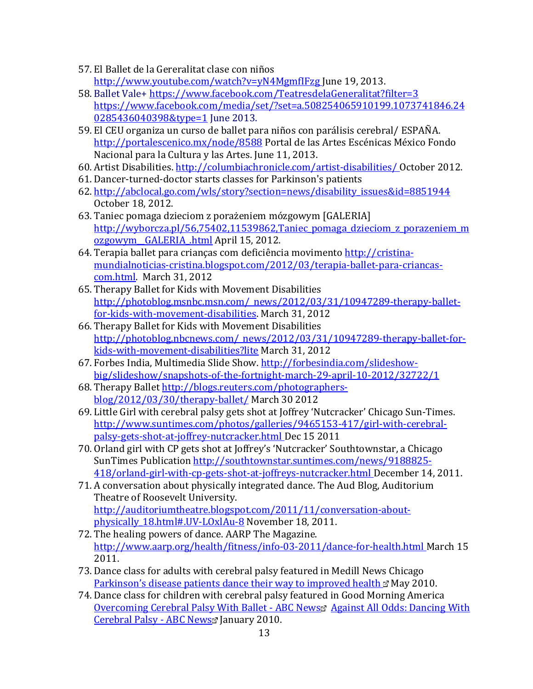- 57. El Ballet de la Gereralitat clase con niños http://www.youtube.com/watch?v=yN4MgmfIFzg June 19, 2013.
- 58. Ballet Vale+ https://www.facebook.com/TeatresdelaGeneralitat?filter=3 https://www.facebook.com/media/set/?set=a.508254065910199.1073741846.24 0285436040398&type=1 June 2013.
- 59. El CEU organiza un curso de ballet para niños con parálisis cerebral/ ESPAÑA. http://portalescenico.mx/node/8588 Portal de las Artes Escénicas México Fondo Nacional para la Cultura y las Artes. June 11, 2013.
- 60. Artist Disabilities. http://columbiachronicle.com/artist-disabilities/ October 2012.
- 61. Dancer-turned-doctor starts classes for Parkinson's patients
- 62. http://abclocal.go.com/wls/story?section=news/disability\_issues&id=8851944 October 18, 2012.
- 63. Taniec pomaga dzieciom z porażeniem mózgowym [GALERIA] http://wyborcza.pl/56,75402,11539862,Taniec pomaga dzieciom z porazeniem m ozgowym GALERIA .html April 15, 2012.
- 64. Terapia ballet para crianças com deficiência movimento http://cristinamundialnoticias-cristina.blogspot.com/2012/03/terapia-ballet-para-criancascom.html. March 31, 2012
- 65. Therapy Ballet for Kids with Movement Disabilities http://photoblog.msnbc.msn.com/\_news/2012/03/31/10947289-therapy-balletfor-kids-with-movement-disabilities. March 31, 2012
- 66. Therapy Ballet for Kids with Movement Disabilities http://photoblog.nbcnews.com/\_news/2012/03/31/10947289-therapy-ballet-forkids-with-movement-disabilities?lite March 31, 2012
- 67. Forbes India, Multimedia Slide Show. http://forbesindia.com/slideshowbig/slideshow/snapshots-of-the-fortnight-march-29-april-10-2012/32722/1
- 68. Therapy Ballet http://blogs.reuters.com/photographersblog/2012/03/30/therapy-ballet/ March 30 2012
- 69. Little Girl with cerebral palsy gets shot at Joffrey 'Nutcracker' Chicago Sun-Times. http://www.suntimes.com/photos/galleries/9465153-417/girl-with-cerebralpalsy-gets-shot-at-joffrey-nutcracker.html Dec 15 2011
- 70. Orland girl with CP gets shot at Joffrey's 'Nutcracker' Southtownstar, a Chicago SunTimes Publication http://southtownstar.suntimes.com/news/9188825-418/orland-girl-with-cp-gets-shot-at-joffreys-nutcracker.html December 14, 2011.
- 71. A conversation about physically integrated dance. The Aud Blog, Auditorium Theatre of Roosevelt University. http://auditoriumtheatre.blogspot.com/2011/11/conversation-aboutphysically 18.html#.UV-LOxlAu-8 November 18, 2011.
- 72. The healing powers of dance. AARP The Magazine. http://www.aarp.org/health/fitness/info-03-2011/dance-for-health.html March 15 2011.
- 73. Dance class for adults with cerebral palsy featured in Medill News Chicago Parkinson's disease patients dance their way to improved health  $\mathbb E$  May 2010.
- 74. Dance class for children with cerebral palsy featured in Good Morning America Overcoming Cerebral Palsy With Ballet - ABC News Against All Odds: Dancing With Cerebral Palsy - ABC News January 2010.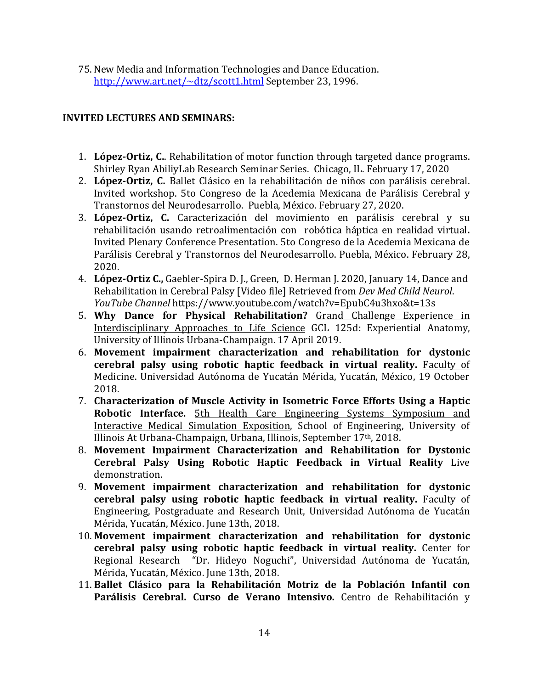75. New Media and Information Technologies and Dance Education. http://www.art.net/~dtz/scott1.html September 23, 1996.

### **INVITED LECTURES AND SEMINARS:**

- 1. López-Ortiz, C.. Rehabilitation of motor function through targeted dance programs. Shirley Ryan AbiliyLab Research Seminar Series. Chicago, IL. February 17, 2020
- 2. López-Ortiz, C. Ballet Clásico en la rehabilitación de niños con parálisis cerebral. Invited workshop. 5to Congreso de la Acedemia Mexicana de Parálisis Cerebral y Transtornos del Neurodesarrollo. Puebla, México. February 27, 2020.
- 3. López-Ortiz, C. Caracterización del movimiento en parálisis cerebral y su rehabilitación usando retroalimentación con robótica háptica en realidad virtual**.** Invited Plenary Conference Presentation. 5to Congreso de la Acedemia Mexicana de Parálisis Cerebral y Transtornos del Neurodesarrollo. Puebla, México. February 28, 2020.
- 4. López-Ortiz C., Gaebler-Spira D. J., Green, D. Herman J. 2020, January 14, Dance and Rehabilitation in Cerebral Palsy [Video file] Retrieved from *Dev Med Child Neurol*. *YouTube Channel* https://www.youtube.com/watch?v=EpubC4u3hxo&t=13s
- 5. Why Dance for Physical Rehabilitation? Grand Challenge Experience in Interdisciplinary Approaches to Life Science GCL 125d: Experiential Anatomy, University of Illinois Urbana-Champaign. 17 April 2019.
- 6. Movement impairment characterization and rehabilitation for dystonic **cerebral palsy using robotic haptic feedback in virtual reality.** Faculty of Medicine. Universidad Autónoma de Yucatán Mérida, Yucatán, México, 19 October 2018.
- 7. Characterization of Muscle Activity in Isometric Force Efforts Using a Haptic **Robotic Interface.** 5th Health Care Engineering Systems Symposium and Interactive Medical Simulation Exposition, School of Engineering, University of Illinois At Urbana-Champaign, Urbana, Illinois, September 17<sup>th</sup>, 2018.
- 8. Movement Impairment Characterization and Rehabilitation for Dystonic **Cerebral Palsy Using Robotic Haptic Feedback in Virtual Reality** Live demonstration.
- 9. Movement impairment characterization and rehabilitation for dystonic **cerebral palsy using robotic haptic feedback in virtual reality.** Faculty of Engineering, Postgraduate and Research Unit, Universidad Autónoma de Yucatán Mérida, Yucatán, México. June 13th, 2018.
- 10. Movement impairment characterization and rehabilitation for dystonic **cerebral palsy using robotic haptic feedback in virtual reality.** Center for Regional Research "Dr. Hideyo Noguchi", Universidad Autónoma de Yucatán, Mérida, Yucatán, México. June 13th, 2018.
- 11. Ballet Clásico para la Rehabilitación Motriz de la Población Infantil con Parálisis Cerebral. Curso de Verano Intensivo. Centro de Rehabilitación y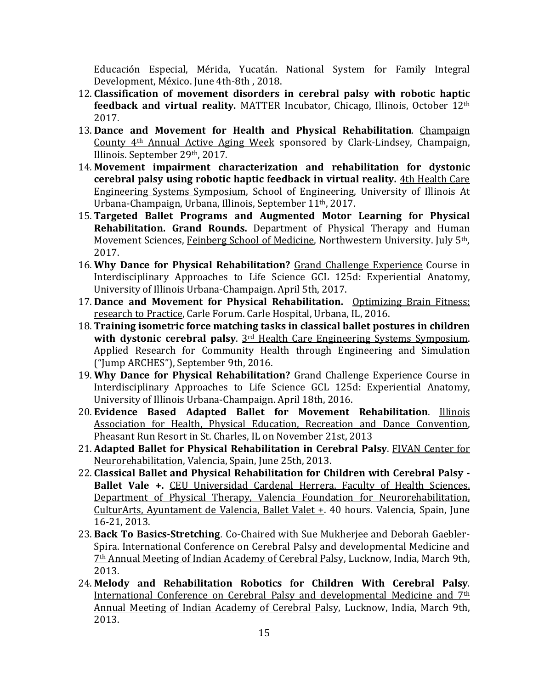Educación Especial, Mérida, Yucatán. National System for Family Integral Development, México. June 4th-8th, 2018.

- 12. Classification of movement disorders in cerebral palsy with robotic haptic **feedback and virtual reality.** MATTER Incubator, Chicago, Illinois, October 12<sup>th</sup> 2017.
- 13. Dance and Movement for Health and Physical Rehabilitation. Champaign County 4<sup>th</sup> Annual Active Aging Week sponsored by Clark-Lindsey, Champaign, Illinois. September 29th, 2017.
- 14. Movement impairment characterization and rehabilitation for dystonic **cerebral palsy using robotic haptic feedback in virtual reality.** 4th Health Care Engineering Systems Symposium, School of Engineering, University of Illinois At Urbana-Champaign, Urbana, Illinois, September 11<sup>th</sup>, 2017.
- 15. **Targeted Ballet Programs and Augmented Motor Learning for Physical Rehabilitation. Grand Rounds.** Department of Physical Therapy and Human Movement Sciences, Feinberg School of Medicine, Northwestern University. July 5<sup>th</sup>, 2017.
- 16. Why Dance for Physical Rehabilitation? Grand Challenge Experience Course in Interdisciplinary Approaches to Life Science GCL 125d: Experiential Anatomy, University of Illinois Urbana-Champaign. April 5th, 2017.
- 17. Dance and Movement for Physical Rehabilitation. Optimizing Brain Fitness: research to Practice, Carle Forum. Carle Hospital, Urbana, IL, 2016.
- 18. Training isometric force matching tasks in classical ballet postures in children **with dystonic cerebral palsy**. 3<sup>rd</sup> Health Care Engineering Systems Symposium. Applied Research for Community Health through Engineering and Simulation ("Jump ARCHES"), September 9th, 2016.
- 19. Why Dance for Physical Rehabilitation? Grand Challenge Experience Course in Interdisciplinary Approaches to Life Science GCL 125d: Experiential Anatomy, University of Illinois Urbana-Champaign. April 18th, 2016.
- 20. **Evidence Based Adapted Ballet for Movement Rehabilitation**. Illinois Association for Health, Physical Education, Recreation and Dance Convention, Pheasant Run Resort in St. Charles, IL on November 21st, 2013
- 21. Adapted Ballet for Physical Rehabilitation in Cerebral Palsy. FIVAN Center for Neurorehabilitation, Valencia, Spain, June 25th, 2013.
- 22. Classical Ballet and Physical Rehabilitation for Children with Cerebral Palsy -**Ballet Vale +.** CEU Universidad Cardenal Herrera, Faculty of Health Sciences, Department of Physical Therapy, Valencia Foundation for Neurorehabilitation, CulturArts, Ayuntament de Valencia, Ballet Valet +. 40 hours. Valencia, Spain, June 16-21, 2013.
- 23. Back To Basics-Stretching. Co-Chaired with Sue Mukherjee and Deborah Gaebler-Spira. International Conference on Cerebral Palsy and developmental Medicine and 7<sup>th</sup> Annual Meeting of Indian Academy of Cerebral Palsy, Lucknow, India, March 9th, 2013.
- 24. Melody and Rehabilitation Robotics for Children With Cerebral Palsy. International Conference on Cerebral Palsy and developmental Medicine and 7<sup>th</sup> Annual Meeting of Indian Academy of Cerebral Palsy, Lucknow, India, March 9th, 2013.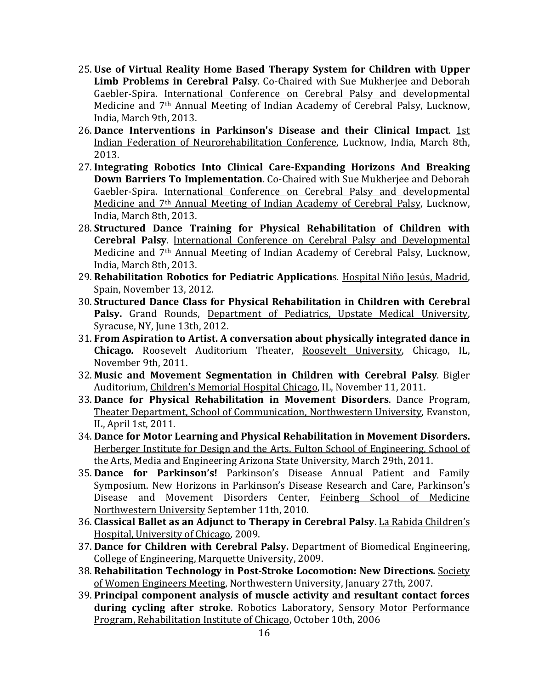- 25. Use of Virtual Reality Home Based Therapy System for Children with Upper Limb Problems in Cerebral Palsy. Co-Chaired with Sue Mukherjee and Deborah Gaebler-Spira. International Conference on Cerebral Palsy and developmental Medicine and 7<sup>th</sup> Annual Meeting of Indian Academy of Cerebral Palsy, Lucknow, India, March 9th, 2013.
- 26. Dance Interventions in Parkinson's Disease and their Clinical Impact. 1st Indian Federation of Neurorehabilitation Conference, Lucknow, India, March 8th, 2013.
- 27. Integrating Robotics Into Clinical Care-Expanding Horizons And Breaking **Down Barriers To Implementation**. Co-Chaired with Sue Mukherjee and Deborah Gaebler-Spira. International Conference on Cerebral Palsy and developmental Medicine and 7<sup>th</sup> Annual Meeting of Indian Academy of Cerebral Palsy, Lucknow, India, March 8th, 2013.
- 28. Structured Dance Training for Physical Rehabilitation of Children with **Cerebral Palsy.** International Conference on Cerebral Palsy and Developmental Medicine and 7<sup>th</sup> Annual Meeting of Indian Academy of Cerebral Palsy, Lucknow, India, March 8th, 2013.
- 29. Rehabilitation Robotics for Pediatric Applications. Hospital Niño Jesús, Madrid, Spain, November 13, 2012.
- 30. **Structured Dance Class for Physical Rehabilitation in Children with Cerebral**  Palsy. Grand Rounds, Department of Pediatrics, Upstate Medical University, Syracuse, NY, June 13th, 2012.
- 31. From Aspiration to Artist. A conversation about physically integrated dance in **Chicago.** Roosevelt Auditorium Theater, Roosevelt University, Chicago, IL, November 9th, 2011.
- 32. Music and Movement Segmentation in Children with Cerebral Palsy. Bigler Auditorium, Children's Memorial Hospital Chicago, IL, November 11, 2011.
- 33. Dance for Physical Rehabilitation in Movement Disorders. Dance Program, Theater Department, School of Communication, Northwestern University, Evanston, IL, April 1st, 2011.
- 34. Dance for Motor Learning and Physical Rehabilitation in Movement Disorders. Herberger Institute for Design and the Arts. Fulton School of Engineering, School of the Arts, Media and Engineering Arizona State University, March 29th, 2011.
- 35. Dance for Parkinson's! Parkinson's Disease Annual Patient and Family Symposium. New Horizons in Parkinson's Disease Research and Care, Parkinson's Disease and Movement Disorders Center, Feinberg School of Medicine Northwestern University September 11th, 2010.
- 36. **Classical Ballet as an Adjunct to Therapy in Cerebral Palsy**. La Rabida Children's Hospital, University of Chicago, 2009.
- 37. Dance for Children with Cerebral Palsy. Department of Biomedical Engineering, College of Engineering, Marquette University, 2009.
- 38. **Rehabilitation Technology in Post-Stroke Locomotion: New Directions***.* Society of Women Engineers Meeting, Northwestern University, January 27th, 2007.
- 39. Principal component analysis of muscle activity and resultant contact forces **during cycling after stroke**. Robotics Laboratory, Sensory Motor Performance Program, Rehabilitation Institute of Chicago, October 10th, 2006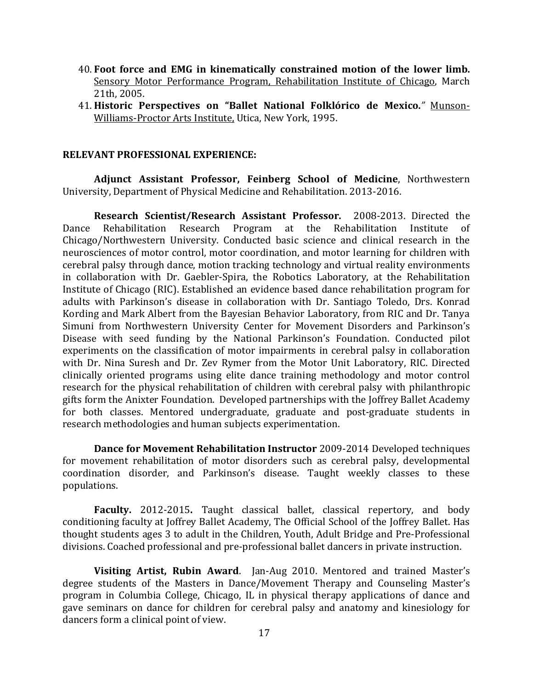- 40. Foot force and EMG in kinematically constrained motion of the lower limb. Sensory Motor Performance Program, Rehabilitation Institute of Chicago, March 21th, 2005.
- 41. **Historic Perspectives on "Ballet National Folklórico de Mexico.***"* Munson-Williams-Proctor Arts Institute, Utica, New York, 1995.

#### **RELEVANT PROFESSIONAL EXPERIENCE:**

**Adjunct Assistant Professor, Feinberg School of Medicine**, Northwestern University, Department of Physical Medicine and Rehabilitation. 2013-2016.

**Research Scientist/Research Assistant Professor.** 2008-2013. Directed the Dance Rehabilitation Research Program at the Rehabilitation Institute of Chicago/Northwestern University. Conducted basic science and clinical research in the neurosciences of motor control, motor coordination, and motor learning for children with cerebral palsy through dance, motion tracking technology and virtual reality environments in collaboration with Dr. Gaebler-Spira, the Robotics Laboratory, at the Rehabilitation Institute of Chicago (RIC). Established an evidence based dance rehabilitation program for adults with Parkinson's disease in collaboration with Dr. Santiago Toledo, Drs. Konrad Kording and Mark Albert from the Bayesian Behavior Laboratory, from RIC and Dr. Tanya Simuni from Northwestern University Center for Movement Disorders and Parkinson's Disease with seed funding by the National Parkinson's Foundation. Conducted pilot experiments on the classification of motor impairments in cerebral palsy in collaboration with Dr. Nina Suresh and Dr. Zev Rymer from the Motor Unit Laboratory, RIC. Directed clinically oriented programs using elite dance training methodology and motor control research for the physical rehabilitation of children with cerebral palsy with philanthropic gifts form the Anixter Foundation. Developed partnerships with the Joffrey Ballet Academy for both classes. Mentored undergraduate, graduate and post-graduate students in research methodologies and human subjects experimentation.

**Dance for Movement Rehabilitation Instructor** 2009-2014 Developed techniques for movement rehabilitation of motor disorders such as cerebral palsy, developmental coordination disorder, and Parkinson's disease. Taught weekly classes to these populations.

**Faculty.** 2012-2015. Taught classical ballet, classical repertory, and body conditioning faculty at Joffrey Ballet Academy, The Official School of the Joffrey Ballet. Has thought students ages 3 to adult in the Children, Youth, Adult Bridge and Pre-Professional divisions. Coached professional and pre-professional ballet dancers in private instruction.

**Visiting Artist, Rubin Award**. Jan-Aug 2010. Mentored and trained Master's degree students of the Masters in Dance/Movement Therapy and Counseling Master's program in Columbia College, Chicago, IL in physical therapy applications of dance and gave seminars on dance for children for cerebral palsy and anatomy and kinesiology for dancers form a clinical point of view.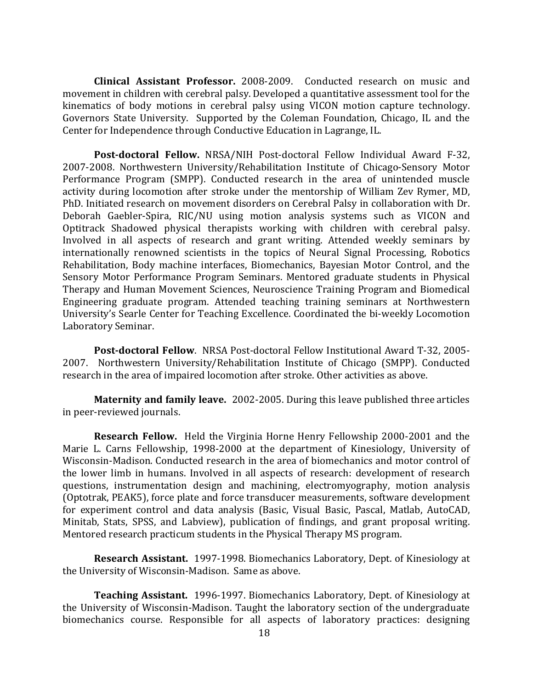**Clinical Assistant Professor.** 2008-2009. Conducted research on music and movement in children with cerebral palsy. Developed a quantitative assessment tool for the kinematics of body motions in cerebral palsy using VICON motion capture technology. Governors State University. Supported by the Coleman Foundation, Chicago, IL and the Center for Independence through Conductive Education in Lagrange, IL.

Post-doctoral Fellow. NRSA/NIH Post-doctoral Fellow Individual Award F-32, 2007-2008. Northwestern University/Rehabilitation Institute of Chicago-Sensory Motor Performance Program (SMPP). Conducted research in the area of unintended muscle activity during locomotion after stroke under the mentorship of William Zev Rymer, MD, PhD. Initiated research on movement disorders on Cerebral Palsy in collaboration with Dr. Deborah Gaebler-Spira, RIC/NU using motion analysis systems such as VICON and Optitrack Shadowed physical therapists working with children with cerebral palsy. Involved in all aspects of research and grant writing. Attended weekly seminars by internationally renowned scientists in the topics of Neural Signal Processing, Robotics Rehabilitation, Body machine interfaces, Biomechanics, Bayesian Motor Control, and the Sensory Motor Performance Program Seminars. Mentored graduate students in Physical Therapy and Human Movement Sciences, Neuroscience Training Program and Biomedical Engineering graduate program. Attended teaching training seminars at Northwestern University's Searle Center for Teaching Excellence. Coordinated the bi-weekly Locomotion Laboratory Seminar. 

**Post-doctoral Fellow**. NRSA Post-doctoral Fellow Institutional Award T-32, 2005-2007. Northwestern University/Rehabilitation Institute of Chicago (SMPP). Conducted research in the area of impaired locomotion after stroke. Other activities as above.

**Maternity and family leave.** 2002-2005. During this leave published three articles in peer-reviewed journals.

**Research Fellow.** Held the Virginia Horne Henry Fellowship 2000-2001 and the Marie L. Carns Fellowship, 1998-2000 at the department of Kinesiology, University of Wisconsin-Madison. Conducted research in the area of biomechanics and motor control of the lower limb in humans. Involved in all aspects of research: development of research questions, instrumentation design and machining, electromyography, motion analysis (Optotrak, PEAK5), force plate and force transducer measurements, software development for experiment control and data analysis (Basic, Visual Basic, Pascal, Matlab, AutoCAD, Minitab, Stats, SPSS, and Labview), publication of findings, and grant proposal writing. Mentored research practicum students in the Physical Therapy MS program.

**Research Assistant.** 1997-1998. Biomechanics Laboratory, Dept. of Kinesiology at the University of Wisconsin-Madison. Same as above.

**Teaching Assistant.** 1996-1997. Biomechanics Laboratory, Dept. of Kinesiology at the University of Wisconsin-Madison. Taught the laboratory section of the undergraduate biomechanics course. Responsible for all aspects of laboratory practices: designing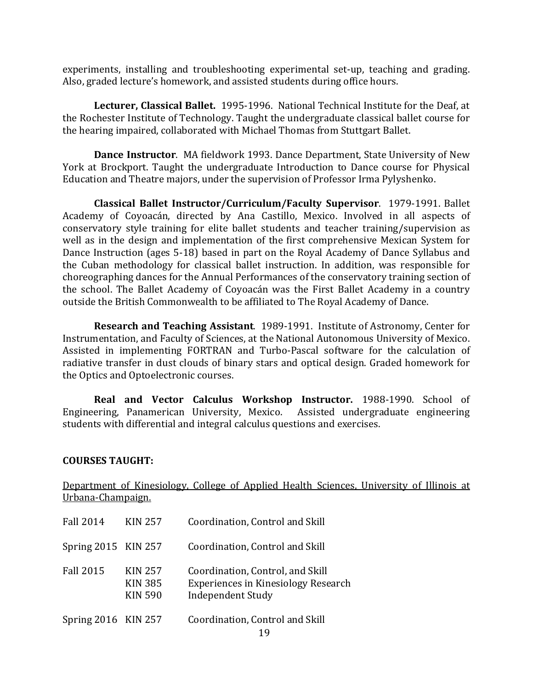experiments, installing and troubleshooting experimental set-up, teaching and grading. Also, graded lecture's homework, and assisted students during office hours.

Lecturer, Classical Ballet. 1995-1996. National Technical Institute for the Deaf, at the Rochester Institute of Technology. Taught the undergraduate classical ballet course for the hearing impaired, collaborated with Michael Thomas from Stuttgart Ballet.

**Dance Instructor.** MA fieldwork 1993. Dance Department, State University of New York at Brockport. Taught the undergraduate Introduction to Dance course for Physical Education and Theatre majors, under the supervision of Professor Irma Pylyshenko.

**Classical Ballet Instructor/Curriculum/Faculty Supervisor.** 1979-1991. Ballet Academy of Coyoacán, directed by Ana Castillo, Mexico. Involved in all aspects of conservatory style training for elite ballet students and teacher training/supervision as well as in the design and implementation of the first comprehensive Mexican System for Dance Instruction (ages 5-18) based in part on the Royal Academy of Dance Syllabus and the Cuban methodology for classical ballet instruction. In addition, was responsible for choreographing dances for the Annual Performances of the conservatory training section of the school. The Ballet Academy of Coyoacán was the First Ballet Academy in a country outside the British Commonwealth to be affiliated to The Royal Academy of Dance.

**Research and Teaching Assistant.** 1989-1991. Institute of Astronomy, Center for Instrumentation, and Faculty of Sciences, at the National Autonomous University of Mexico. Assisted in implementing FORTRAN and Turbo-Pascal software for the calculation of radiative transfer in dust clouds of binary stars and optical design. Graded homework for the Optics and Optoelectronic courses.

**Real and Vector Calculus Workshop Instructor.** 1988-1990. School of Engineering, Panamerican University, Mexico. Assisted undergraduate engineering students with differential and integral calculus questions and exercises.

### **COURSES TAUGHT:**

Department of Kinesiology, College of Applied Health Sciences, University of Illinois at Urbana-Champaign.

| <b>Fall 2014</b>    | KIN 257                                            | Coordination, Control and Skill                                                                            |
|---------------------|----------------------------------------------------|------------------------------------------------------------------------------------------------------------|
| Spring 2015 KIN 257 |                                                    | Coordination, Control and Skill                                                                            |
| <b>Fall 2015</b>    | <b>KIN 257</b><br><b>KIN 385</b><br><b>KIN 590</b> | Coordination, Control, and Skill<br><b>Experiences in Kinesiology Research</b><br><b>Independent Study</b> |
| Spring 2016 KIN 257 |                                                    | Coordination, Control and Skill                                                                            |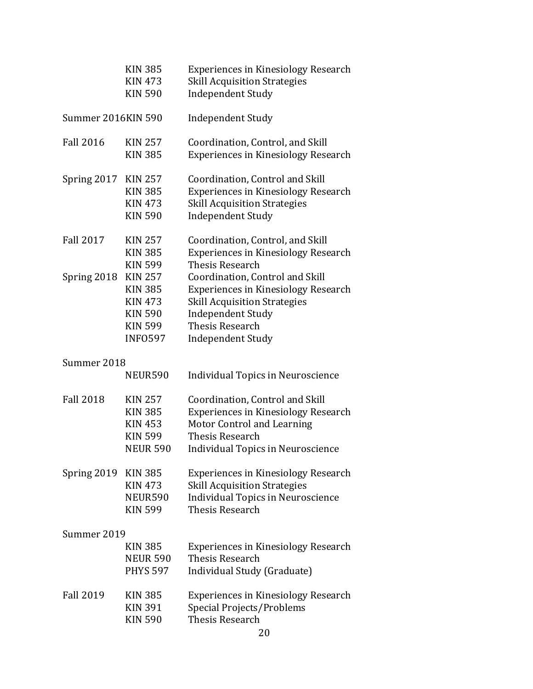|                           | <b>KIN 385</b><br><b>KIN 473</b> | <b>Experiences in Kinesiology Research</b><br><b>Skill Acquisition Strategies</b> |  |
|---------------------------|----------------------------------|-----------------------------------------------------------------------------------|--|
|                           | <b>KIN 590</b>                   | <b>Independent Study</b>                                                          |  |
| <b>Summer 2016KIN 590</b> |                                  | <b>Independent Study</b>                                                          |  |
| <b>Fall 2016</b>          | <b>KIN 257</b>                   | Coordination, Control, and Skill                                                  |  |
|                           | <b>KIN 385</b>                   | <b>Experiences in Kinesiology Research</b>                                        |  |
| Spring 2017               | <b>KIN 257</b>                   | Coordination, Control and Skill                                                   |  |
|                           | <b>KIN 385</b>                   | <b>Experiences in Kinesiology Research</b>                                        |  |
|                           | <b>KIN 473</b>                   | <b>Skill Acquisition Strategies</b>                                               |  |
|                           | <b>KIN 590</b>                   | <b>Independent Study</b>                                                          |  |
| <b>Fall 2017</b>          | <b>KIN 257</b>                   | Coordination, Control, and Skill                                                  |  |
|                           | <b>KIN 385</b>                   | <b>Experiences in Kinesiology Research</b>                                        |  |
|                           | <b>KIN 599</b>                   | <b>Thesis Research</b>                                                            |  |
| Spring 2018               | <b>KIN 257</b>                   | Coordination, Control and Skill                                                   |  |
|                           | <b>KIN 385</b>                   | <b>Experiences in Kinesiology Research</b>                                        |  |
|                           | <b>KIN 473</b>                   | <b>Skill Acquisition Strategies</b>                                               |  |
|                           | <b>KIN 590</b>                   | <b>Independent Study</b>                                                          |  |
|                           | <b>KIN 599</b>                   | <b>Thesis Research</b>                                                            |  |
|                           | <b>INFO597</b>                   | <b>Independent Study</b>                                                          |  |
| Summer 2018               |                                  |                                                                                   |  |
|                           | NEUR590                          | <b>Individual Topics in Neuroscience</b>                                          |  |
| <b>Fall 2018</b>          | <b>KIN 257</b>                   | Coordination, Control and Skill                                                   |  |
|                           | <b>KIN 385</b>                   | <b>Experiences in Kinesiology Research</b>                                        |  |
|                           | <b>KIN 453</b>                   | Motor Control and Learning                                                        |  |
|                           | <b>KIN 599</b>                   | Thesis Research                                                                   |  |
|                           | <b>NEUR 590</b>                  | Individual Topics in Neuroscience                                                 |  |
| Spring 2019               | <b>KIN 385</b>                   | <b>Experiences in Kinesiology Research</b>                                        |  |
|                           | <b>KIN 473</b>                   | <b>Skill Acquisition Strategies</b>                                               |  |
|                           | NEUR590                          | <b>Individual Topics in Neuroscience</b>                                          |  |
|                           | <b>KIN 599</b>                   | <b>Thesis Research</b>                                                            |  |
| Summer 2019               |                                  |                                                                                   |  |
|                           | <b>KIN 385</b>                   | <b>Experiences in Kinesiology Research</b>                                        |  |
|                           | <b>NEUR 590</b>                  | Thesis Research                                                                   |  |
|                           | <b>PHYS 597</b>                  | Individual Study (Graduate)                                                       |  |
| <b>Fall 2019</b>          | <b>KIN 385</b>                   | <b>Experiences in Kinesiology Research</b>                                        |  |
|                           | <b>KIN 391</b>                   | Special Projects/Problems                                                         |  |
|                           | <b>KIN 590</b>                   | Thesis Research                                                                   |  |
|                           |                                  | 20                                                                                |  |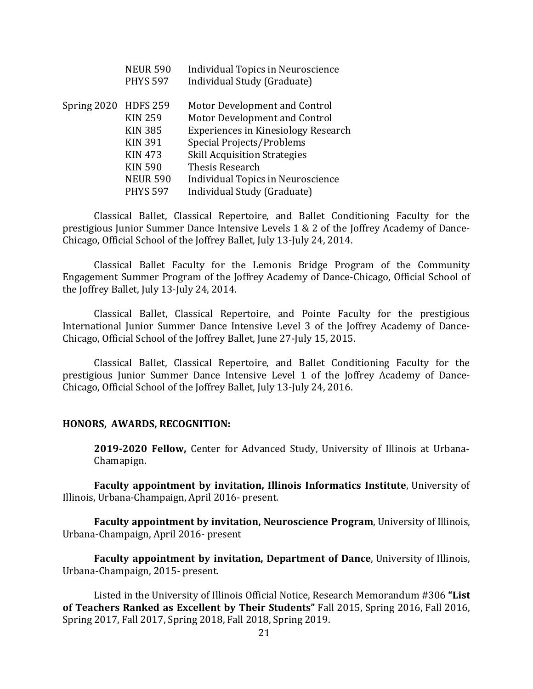|             | <b>NEUR 590</b><br><b>PHYS 597</b> | Individual Topics in Neuroscience<br>Individual Study (Graduate) |
|-------------|------------------------------------|------------------------------------------------------------------|
| Spring 2020 | <b>HDFS 259</b>                    | Motor Development and Control                                    |
|             | <b>KIN 259</b>                     | Motor Development and Control                                    |
|             | <b>KIN 385</b>                     | <b>Experiences in Kinesiology Research</b>                       |
|             | <b>KIN 391</b>                     | Special Projects/Problems                                        |
|             | <b>KIN 473</b>                     | <b>Skill Acquisition Strategies</b>                              |
|             | <b>KIN 590</b>                     | Thesis Research                                                  |
|             | <b>NEUR 590</b>                    | <b>Individual Topics in Neuroscience</b>                         |
|             | <b>PHYS 597</b>                    | Individual Study (Graduate)                                      |

Classical Ballet, Classical Repertoire, and Ballet Conditioning Faculty for the prestigious Junior Summer Dance Intensive Levels  $1 \& 2$  of the Joffrey Academy of Dance-Chicago, Official School of the Joffrey Ballet, July 13-July 24, 2014.

Classical Ballet Faculty for the Lemonis Bridge Program of the Community Engagement Summer Program of the Joffrey Academy of Dance-Chicago, Official School of the Joffrey Ballet, July 13-July 24, 2014.

Classical Ballet, Classical Repertoire, and Pointe Faculty for the prestigious International Junior Summer Dance Intensive Level 3 of the Joffrey Academy of Dance-Chicago, Official School of the Joffrey Ballet, June 27-July 15, 2015.

Classical Ballet, Classical Repertoire, and Ballet Conditioning Faculty for the prestigious Junior Summer Dance Intensive Level 1 of the Joffrey Academy of Dance-Chicago, Official School of the Joffrey Ballet, July 13-July 24, 2016.

#### **HONORS, AWARDS, RECOGNITION:**

**2019-2020 Fellow,** Center for Advanced Study, University of Illinois at Urbana-Chamapign.

**Faculty appointment by invitation, Illinois Informatics Institute, University of** Illinois, Urbana-Champaign, April 2016- present.

**Faculty appointment by invitation, Neuroscience Program**, University of Illinois, Urbana-Champaign, April 2016- present

**Faculty appointment by invitation, Department of Dance**, University of Illinois, Urbana-Champaign, 2015- present.

Listed in the University of Illinois Official Notice, Research Memorandum #306 "List of Teachers Ranked as Excellent by Their Students" Fall 2015, Spring 2016, Fall 2016, Spring 2017, Fall 2017, Spring 2018, Fall 2018, Spring 2019.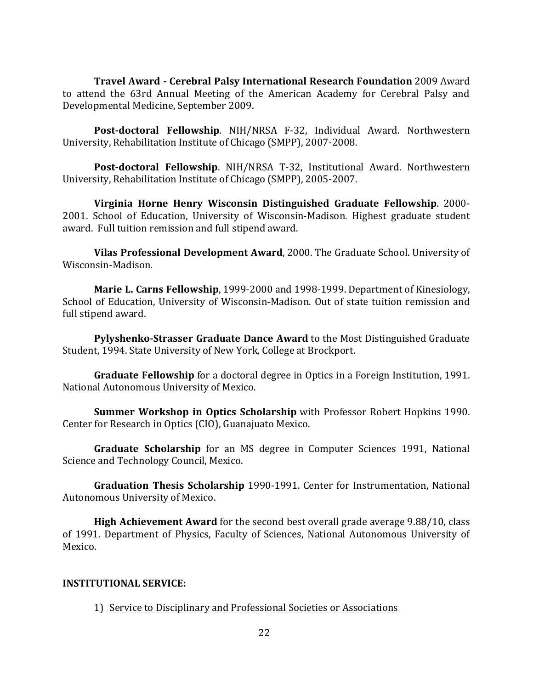**Travel Award - Cerebral Palsy International Research Foundation** 2009 Award to attend the 63rd Annual Meeting of the American Academy for Cerebral Palsy and Developmental Medicine, September 2009.

Post-doctoral Fellowship. NIH/NRSA F-32, Individual Award. Northwestern University, Rehabilitation Institute of Chicago (SMPP), 2007-2008.

**Post-doctoral Fellowship**. NIH/NRSA T-32, Institutional Award. Northwestern University, Rehabilitation Institute of Chicago (SMPP), 2005-2007.

**Virginia Horne Henry Wisconsin Distinguished Graduate Fellowship**. 2000- 2001. School of Education, University of Wisconsin-Madison. Highest graduate student award. Full tuition remission and full stipend award.

**Vilas Professional Development Award**, 2000. The Graduate School. University of Wisconsin-Madison.

**Marie L. Carns Fellowship**, 1999-2000 and 1998-1999. Department of Kinesiology, School of Education, University of Wisconsin-Madison. Out of state tuition remission and full stipend award.

**Pylyshenko-Strasser Graduate Dance Award** to the Most Distinguished Graduate Student, 1994. State University of New York, College at Brockport.

**Graduate Fellowship** for a doctoral degree in Optics in a Foreign Institution, 1991. National Autonomous University of Mexico.

**Summer Workshop in Optics Scholarship** with Professor Robert Hopkins 1990. Center for Research in Optics (CIO), Guanajuato Mexico.

**Graduate Scholarship** for an MS degree in Computer Sciences 1991, National Science and Technology Council, Mexico.

**Graduation Thesis Scholarship** 1990-1991. Center for Instrumentation, National Autonomous University of Mexico.

**High Achievement Award** for the second best overall grade average 9.88/10, class of 1991. Department of Physics, Faculty of Sciences, National Autonomous University of Mexico.

### **INSTITUTIONAL SERVICE:**

1) Service to Disciplinary and Professional Societies or Associations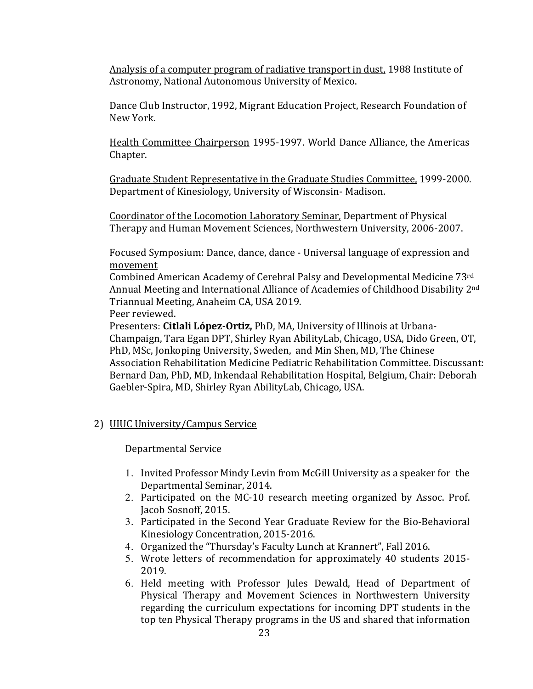Analysis of a computer program of radiative transport in dust, 1988 Institute of Astronomy, National Autonomous University of Mexico.

Dance Club Instructor, 1992, Migrant Education Project, Research Foundation of New York.

Health Committee Chairperson 1995-1997. World Dance Alliance, the Americas Chapter.

Graduate Student Representative in the Graduate Studies Committee, 1999-2000. Department of Kinesiology, University of Wisconsin- Madison.

Coordinator of the Locomotion Laboratory Seminar, Department of Physical Therapy and Human Movement Sciences, Northwestern University, 2006-2007.

Focused Symposium: Dance, dance, dance - Universal language of expression and movement

Combined American Academy of Cerebral Palsy and Developmental Medicine 73rd Annual Meeting and International Alliance of Academies of Childhood Disability 2<sup>nd</sup> Triannual Meeting, Anaheim CA, USA 2019.

Peer reviewed.

Presenters: **Citlali López-Ortiz,** PhD, MA, University of Illinois at Urbana-Champaign, Tara Egan DPT, Shirley Ryan AbilityLab, Chicago, USA, Dido Green, OT, PhD, MSc, Jonkoping University, Sweden, and Min Shen, MD, The Chinese Association Rehabilitation Medicine Pediatric Rehabilitation Committee. Discussant: Bernard Dan, PhD, MD, Inkendaal Rehabilitation Hospital, Belgium, Chair: Deborah Gaebler-Spira, MD, Shirley Ryan AbilityLab, Chicago, USA.

2) UIUC University/Campus Service

Departmental Service

- 1. Invited Professor Mindy Levin from McGill University as a speaker for the Departmental Seminar, 2014.
- 2. Participated on the MC-10 research meeting organized by Assoc. Prof. Jacob Sosnoff, 2015.
- 3. Participated in the Second Year Graduate Review for the Bio-Behavioral Kinesiology Concentration, 2015-2016.
- 4. Organized the "Thursday's Faculty Lunch at Krannert", Fall 2016.
- 5. Wrote letters of recommendation for approximately 40 students 2015-2019.
- 6. Held meeting with Professor Jules Dewald, Head of Department of Physical Therapy and Movement Sciences in Northwestern University regarding the curriculum expectations for incoming DPT students in the top ten Physical Therapy programs in the US and shared that information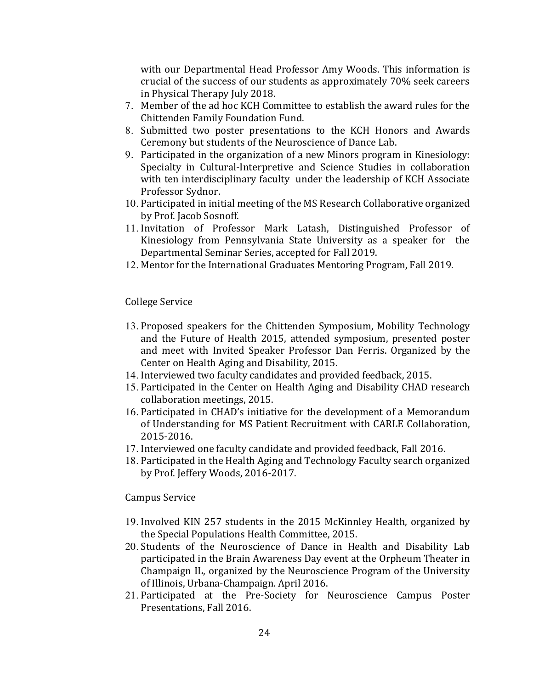with our Departmental Head Professor Amy Woods. This information is crucial of the success of our students as approximately 70% seek careers in Physical Therapy July 2018.

- 7. Member of the ad hoc KCH Committee to establish the award rules for the Chittenden Family Foundation Fund.
- 8. Submitted two poster presentations to the KCH Honors and Awards Ceremony but students of the Neuroscience of Dance Lab.
- 9. Participated in the organization of a new Minors program in Kinesiology: Specialty in Cultural-Interpretive and Science Studies in collaboration with ten interdisciplinary faculty under the leadership of KCH Associate Professor Sydnor.
- 10. Participated in initial meeting of the MS Research Collaborative organized by Prof. Jacob Sosnoff.
- 11. Invitation of Professor Mark Latash, Distinguished Professor of Kinesiology from Pennsylvania State University as a speaker for the Departmental Seminar Series, accepted for Fall 2019.
- 12. Mentor for the International Graduates Mentoring Program, Fall 2019.

College Service

- 13. Proposed speakers for the Chittenden Symposium, Mobility Technology and the Future of Health 2015, attended symposium, presented poster and meet with Invited Speaker Professor Dan Ferris. Organized by the Center on Health Aging and Disability, 2015.
- 14. Interviewed two faculty candidates and provided feedback, 2015.
- 15. Participated in the Center on Health Aging and Disability CHAD research collaboration meetings, 2015.
- 16. Participated in CHAD's initiative for the development of a Memorandum of Understanding for MS Patient Recruitment with CARLE Collaboration, 2015-2016.
- 17. Interviewed one faculty candidate and provided feedback, Fall 2016.
- 18. Participated in the Health Aging and Technology Faculty search organized by Prof. Jeffery Woods, 2016-2017.

Campus Service 

- 19. Involved KIN 257 students in the 2015 McKinnley Health, organized by the Special Populations Health Committee, 2015.
- 20. Students of the Neuroscience of Dance in Health and Disability Lab participated in the Brain Awareness Day event at the Orpheum Theater in Champaign IL, organized by the Neuroscience Program of the University of Illinois, Urbana-Champaign. April 2016.
- 21. Participated at the Pre-Society for Neuroscience Campus Poster Presentations, Fall 2016.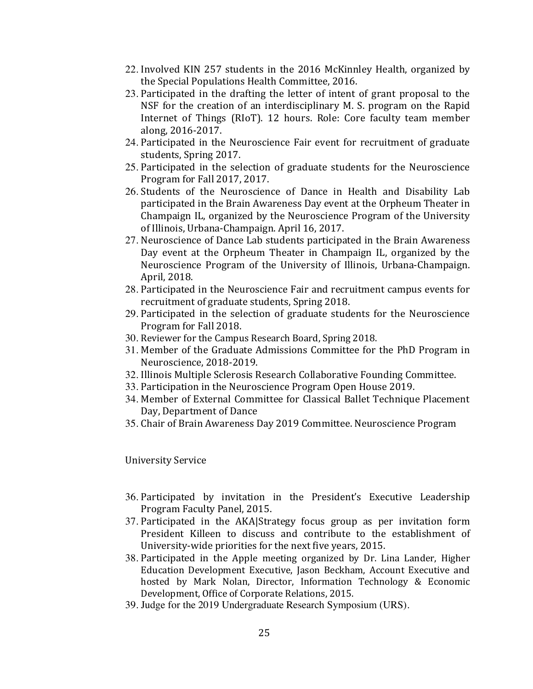- 22. Involved KIN 257 students in the 2016 McKinnley Health, organized by the Special Populations Health Committee, 2016.
- 23. Participated in the drafting the letter of intent of grant proposal to the NSF for the creation of an interdisciplinary M. S. program on the Rapid Internet of Things (RIoT). 12 hours. Role: Core faculty team member along, 2016-2017.
- 24. Participated in the Neuroscience Fair event for recruitment of graduate students, Spring 2017.
- 25. Participated in the selection of graduate students for the Neuroscience Program for Fall 2017, 2017.
- 26. Students of the Neuroscience of Dance in Health and Disability Lab participated in the Brain Awareness Day event at the Orpheum Theater in Champaign IL, organized by the Neuroscience Program of the University of Illinois, Urbana-Champaign. April 16, 2017.
- 27. Neuroscience of Dance Lab students participated in the Brain Awareness Day event at the Orpheum Theater in Champaign IL, organized by the Neuroscience Program of the University of Illinois, Urbana-Champaign. April, 2018.
- 28. Participated in the Neuroscience Fair and recruitment campus events for recruitment of graduate students, Spring 2018.
- 29. Participated in the selection of graduate students for the Neuroscience Program for Fall 2018.
- 30. Reviewer for the Campus Research Board, Spring 2018.
- 31. Member of the Graduate Admissions Committee for the PhD Program in Neuroscience, 2018-2019.
- 32. Illinois Multiple Sclerosis Research Collaborative Founding Committee.
- 33. Participation in the Neuroscience Program Open House 2019.
- 34. Member of External Committee for Classical Ballet Technique Placement Day, Department of Dance
- 35. Chair of Brain Awareness Day 2019 Committee. Neuroscience Program

University Service

- 36. Participated by invitation in the President's Executive Leadership Program Faculty Panel, 2015.
- 37. Participated in the AKA|Strategy focus group as per invitation form President Killeen to discuss and contribute to the establishment of University-wide priorities for the next five years, 2015.
- 38. Participated in the Apple meeting organized by Dr. Lina Lander, Higher Education Development Executive, Jason Beckham, Account Executive and hosted by Mark Nolan, Director, Information Technology & Economic Development, Office of Corporate Relations, 2015.
- 39. Judge for the 2019 Undergraduate Research Symposium (URS).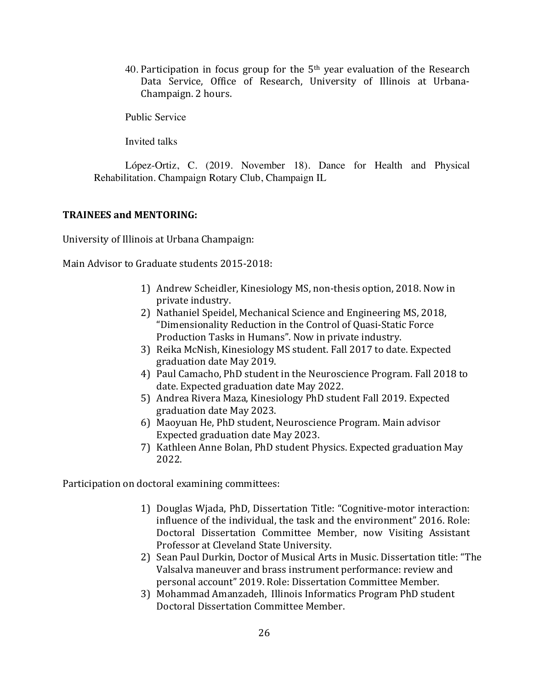40. Participation in focus group for the  $5<sup>th</sup>$  year evaluation of the Research Data Service, Office of Research, University of Illinois at Urbana-Champaign. 2 hours.

Public Service

Invited talks

López-Ortiz, C. (2019. November 18). Dance for Health and Physical Rehabilitation. Champaign Rotary Club, Champaign IL

#### **TRAINEES and MENTORING:**

University of Illinois at Urbana Champaign:

Main Advisor to Graduate students 2015-2018:

- 1) Andrew Scheidler, Kinesiology MS, non-thesis option, 2018. Now in private industry.
- 2) Nathaniel Speidel, Mechanical Science and Engineering MS, 2018, "Dimensionality Reduction in the Control of Quasi-Static Force Production Tasks in Humans". Now in private industry.
- 3) Reika McNish, Kinesiology MS student. Fall 2017 to date. Expected graduation date May 2019.
- 4) Paul Camacho, PhD student in the Neuroscience Program. Fall 2018 to date. Expected graduation date May 2022.
- 5) Andrea Rivera Maza, Kinesiology PhD student Fall 2019. Expected graduation date May 2023.
- 6) Maoyuan He, PhD student, Neuroscience Program. Main advisor Expected graduation date May 2023.
- 7) Kathleen Anne Bolan, PhD student Physics. Expected graduation May 2022.

Participation on doctoral examining committees:

- 1) Douglas Wjada, PhD, Dissertation Title: "Cognitive-motor interaction: influence of the individual, the task and the environment" 2016. Role: Doctoral Dissertation Committee Member, now Visiting Assistant Professor at Cleveland State University.
- 2) Sean Paul Durkin, Doctor of Musical Arts in Music. Dissertation title: "The Valsalva maneuver and brass instrument performance: review and personal account" 2019. Role: Dissertation Committee Member.
- 3) Mohammad Amanzadeh, Illinois Informatics Program PhD student Doctoral Dissertation Committee Member.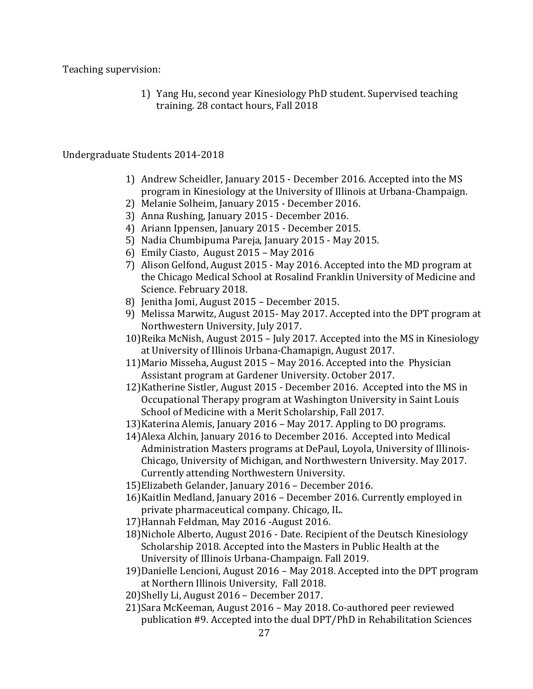Teaching supervision:

1) Yang Hu, second year Kinesiology PhD student. Supervised teaching training. 28 contact hours, Fall 2018

### Undergraduate Students 2014-2018

- 1) Andrew Scheidler, January 2015 December 2016. Accepted into the MS program in Kinesiology at the University of Illinois at Urbana-Champaign.
- 2) Melanie Solheim, January 2015 December 2016.
- 3) Anna Rushing, January 2015 December 2016.
- 4) Ariann Ippensen, January 2015 December 2015.
- 5) Nadia Chumbipuma Pareja, January 2015 May 2015.
- 6) Emily Ciasto, August 2015 May 2016
- 7) Alison Gelfond, August 2015 May 2016. Accepted into the MD program at the Chicago Medical School at Rosalind Franklin University of Medicine and Science. February 2018.
- 8) Jenitha Jomi, August 2015 December 2015.
- 9) Melissa Marwitz, August 2015- May 2017. Accepted into the DPT program at Northwestern University, July 2017.
- 10)Reika McNish, August 2015 July 2017. Accepted into the MS in Kinesiology at University of Illinois Urbana-Chamapign, August 2017.
- 11) Mario Misseha, August 2015 May 2016. Accepted into the Physician Assistant program at Gardener University. October 2017.
- 12) Katherine Sistler, August 2015 December 2016. Accepted into the MS in Occupational Therapy program at Washington University in Saint Louis School of Medicine with a Merit Scholarship, Fall 2017.
- 13) Katerina Alemis, January 2016 May 2017. Appling to DO programs.
- 14) Alexa Alchin, January 2016 to December 2016. Accepted into Medical Administration Masters programs at DePaul, Loyola, University of Illinois-Chicago, University of Michigan, and Northwestern University. May 2017. Currently attending Northwestern University.
- 15)Elizabeth Gelander, January 2016 December 2016.
- 16) Kaitlin Medland, January 2016 December 2016. Currently employed in private pharmaceutical company. Chicago, IL.
- 17) Hannah Feldman, May 2016 August 2016.
- 18) Nichole Alberto, August 2016 Date. Recipient of the Deutsch Kinesiology Scholarship 2018. Accepted into the Masters in Public Health at the University of Illinois Urbana-Champaign. Fall 2019.
- 19)Danielle Lencioni, August 2016 May 2018. Accepted into the DPT program at Northern Illinois University, Fall 2018.
- 20)Shelly Li, August 2016 December 2017.
- 21)Sara McKeeman, August 2016 May 2018. Co-authored peer reviewed publication #9. Accepted into the dual DPT/PhD in Rehabilitation Sciences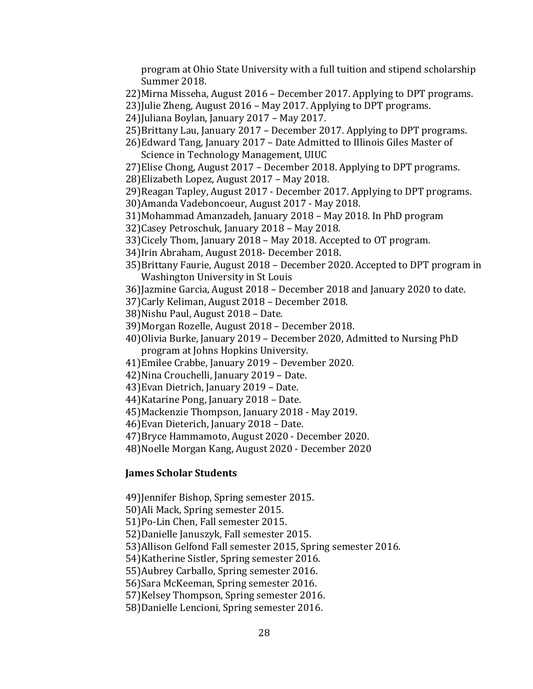program at Ohio State University with a full tuition and stipend scholarship Summer 2018.

- 22) Mirna Misseha, August 2016 December 2017. Applying to DPT programs.
- 23) Julie Zheng, August  $2016$  May 2017. Applying to DPT programs.
- 24)Juliana Boylan, January 2017 May 2017.
- 25)Brittany Lau, January 2017 December 2017. Applying to DPT programs.
- 26)Edward Tang, January 2017 Date Admitted to Illinois Giles Master of Science in Technology Management, UIUC
- 27) Elise Chong, August 2017 December 2018. Applying to DPT programs.
- 28) Elizabeth Lopez, August 2017 May 2018.
- 29) Reagan Tapley, August 2017 December 2017. Applying to DPT programs.
- 30)Amanda Vadeboncoeur, August 2017 May 2018.
- 31)Mohammad Amanzadeh, January 2018 May 2018. In PhD program
- 32) Casey Petroschuk, January 2018 May 2018.
- 33)Cicely Thom, January 2018 May 2018. Accepted to OT program.
- 34) Irin Abraham, August 2018- December 2018.
- 35)Brittany Faurie, August 2018 December 2020. Accepted to DPT program in Washington University in St Louis
- 36)Jazmine Garcia, August 2018 December 2018 and January 2020 to date.
- 37)Carly Keliman, August 2018 December 2018.
- 38) Nishu Paul, August 2018 Date.
- 39)Morgan Rozelle, August 2018 December 2018.
- 40)Olivia Burke, January 2019 December 2020, Admitted to Nursing PhD program at Johns Hopkins University.
- 41) Emilee Crabbe, January 2019 Devember 2020.
- 42) Nina Crouchelli, January 2019 Date.
- 43) Evan Dietrich, January 2019 Date.
- 44) Katarine Pong, January 2018 Date.
- 45) Mackenzie Thompson, January 2018 May 2019.
- 46) Evan Dieterich, January 2018 Date.

47) Bryce Hammamoto, August 2020 - December 2020.

48) Noelle Morgan Kang, August 2020 - December 2020

#### **James Scholar Students**

49) Jennifer Bishop, Spring semester 2015.

- 50)Ali Mack, Spring semester 2015.
- 51)Po-Lin Chen, Fall semester 2015.
- 52)Danielle Januszyk, Fall semester 2015.

53) Allison Gelfond Fall semester 2015, Spring semester 2016.

54) Katherine Sistler, Spring semester 2016.

- 55) Aubrey Carballo, Spring semester 2016.
- 56) Sara McKeeman, Spring semester 2016.

57) Kelsey Thompson, Spring semester 2016.

58)Danielle Lencioni, Spring semester 2016.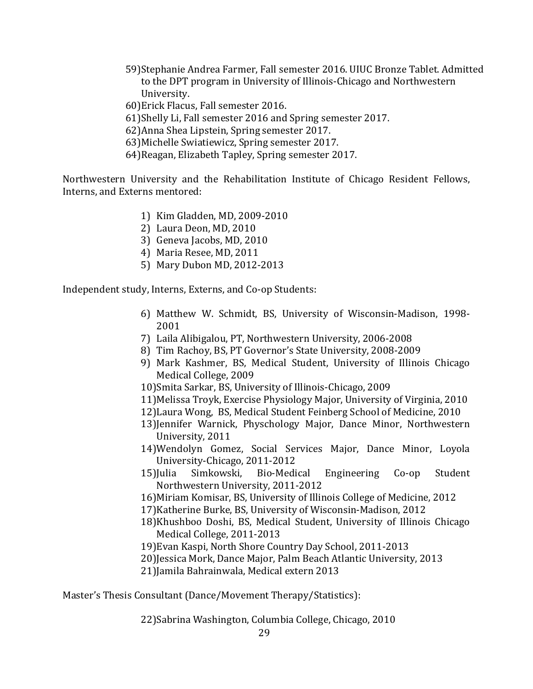- 59)Stephanie Andrea Farmer, Fall semester 2016. UIUC Bronze Tablet. Admitted to the DPT program in University of Illinois-Chicago and Northwestern University.
- 60)Erick Flacus, Fall semester 2016.
- 61)Shelly Li, Fall semester 2016 and Spring semester 2017.
- 62)Anna Shea Lipstein, Spring semester 2017.
- 63) Michelle Swiatiewicz, Spring semester 2017.
- 64) Reagan, Elizabeth Tapley, Spring semester 2017.

Northwestern University and the Rehabilitation Institute of Chicago Resident Fellows, Interns, and Externs mentored:

- 1) Kim Gladden, MD, 2009-2010
- 2) Laura Deon, MD, 2010
- 3) Geneva Jacobs, MD, 2010
- 4) Maria Resee, MD, 2011
- 5) Mary Dubon MD, 2012-2013

Independent study, Interns, Externs, and Co-op Students:

- 6) Matthew W. Schmidt, BS, University of Wisconsin-Madison, 1998- 2001
- 7) Laila Alibigalou, PT, Northwestern University, 2006-2008
- 8) Tim Rachoy, BS, PT Governor's State University, 2008-2009
- 9) Mark Kashmer, BS, Medical Student, University of Illinois Chicago Medical College, 2009
- 10)Smita Sarkar, BS, University of Illinois-Chicago, 2009
- 11) Melissa Troyk, Exercise Physiology Major, University of Virginia, 2010
- 12) Laura Wong, BS, Medical Student Feinberg School of Medicine, 2010
- 13)Jennifer Warnick, Physchology Major, Dance Minor, Northwestern University, 2011
- 14)Wendolyn Gomez, Social Services Major, Dance Minor, Loyola University-Chicago, 2011-2012
- 15)Julia Simkowski, Bio-Medical Engineering Co-op Student Northwestern University, 2011-2012
- 16) Miriam Komisar, BS, University of Illinois College of Medicine, 2012
- 17) Katherine Burke, BS, University of Wisconsin-Madison, 2012
- 18)Khushboo Doshi, BS, Medical Student, University of Illinois Chicago Medical College, 2011-2013
- 19) Evan Kaspi, North Shore Country Day School, 2011-2013
- 20)Jessica Mork, Dance Major, Palm Beach Atlantic University, 2013
- 21) Jamila Bahrainwala, Medical extern 2013

Master's Thesis Consultant (Dance/Movement Therapy/Statistics):

22)Sabrina Washington, Columbia College, Chicago, 2010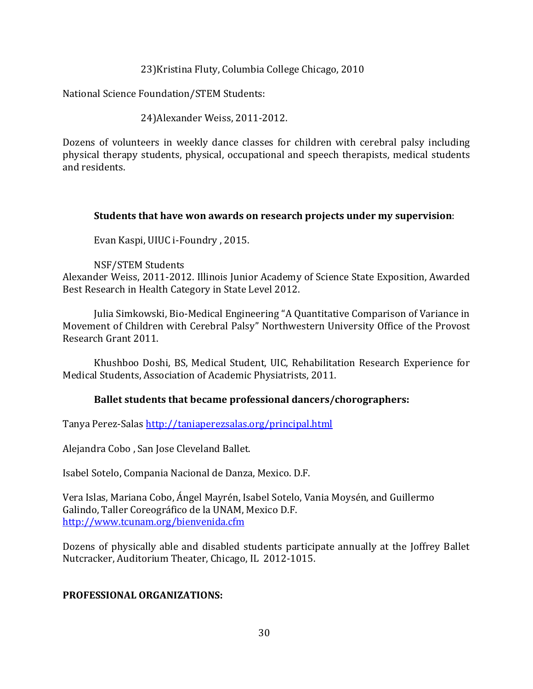23) Kristina Fluty, Columbia College Chicago, 2010

National Science Foundation/STEM Students:

24) Alexander Weiss, 2011-2012.

Dozens of volunteers in weekly dance classes for children with cerebral palsy including physical therapy students, physical, occupational and speech therapists, medical students and residents.

### **Students that have won awards on research projects under my supervision:**

Evan Kaspi, UIUC i-Foundry, 2015.

NSF/STEM Students Alexander Weiss, 2011-2012. Illinois Junior Academy of Science State Exposition, Awarded Best Research in Health Category in State Level 2012.

Julia Simkowski, Bio-Medical Engineering "A Quantitative Comparison of Variance in Movement of Children with Cerebral Palsy" Northwestern University Office of the Provost Research Grant 2011.

Khushboo Doshi, BS, Medical Student, UIC, Rehabilitation Research Experience for Medical Students, Association of Academic Physiatrists, 2011.

### **Ballet students that became professional dancers/chorographers:**

Tanya Perez-Salas http://taniaperezsalas.org/principal.html

Alejandra Cobo, San Jose Cleveland Ballet.

Isabel Sotelo, Compania Nacional de Danza, Mexico. D.F.

Vera Islas, Mariana Cobo, Ángel Mayrén, Isabel Sotelo, Vania Moysén, and Guillermo Galindo, Taller Coreográfico de la UNAM, Mexico D.F. http://www.tcunam.org/bienvenida.cfm

Dozens of physically able and disabled students participate annually at the Joffrey Ballet Nutcracker, Auditorium Theater, Chicago, IL 2012-1015.

### **PROFESSIONAL ORGANIZATIONS:**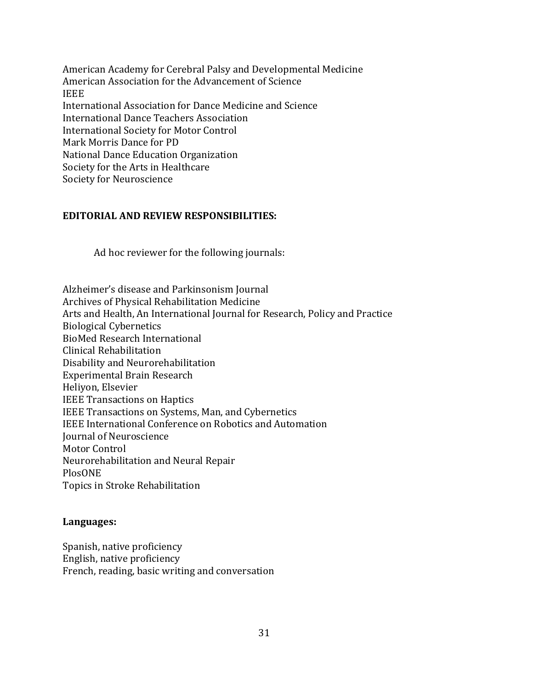American Academy for Cerebral Palsy and Developmental Medicine American Association for the Advancement of Science IEEE International Association for Dance Medicine and Science International Dance Teachers Association International Society for Motor Control Mark Morris Dance for PD National Dance Education Organization Society for the Arts in Healthcare Society for Neuroscience

### **EDITORIAL AND REVIEW RESPONSIBILITIES:**

Ad hoc reviewer for the following journals:

Alzheimer's disease and Parkinsonism Journal Archives of Physical Rehabilitation Medicine Arts and Health, An International Journal for Research, Policy and Practice Biological Cybernetics BioMed Research International Clinical Rehabilitation Disability and Neurorehabilitation Experimental Brain Research Heliyon, Elsevier IEEE Transactions on Haptics IEEE Transactions on Systems, Man, and Cybernetics IEEE International Conference on Robotics and Automation Journal of Neuroscience Motor Control Neurorehabilitation and Neural Repair PlosONE Topics in Stroke Rehabilitation

#### **Languages:**

Spanish, native proficiency English, native proficiency French, reading, basic writing and conversation